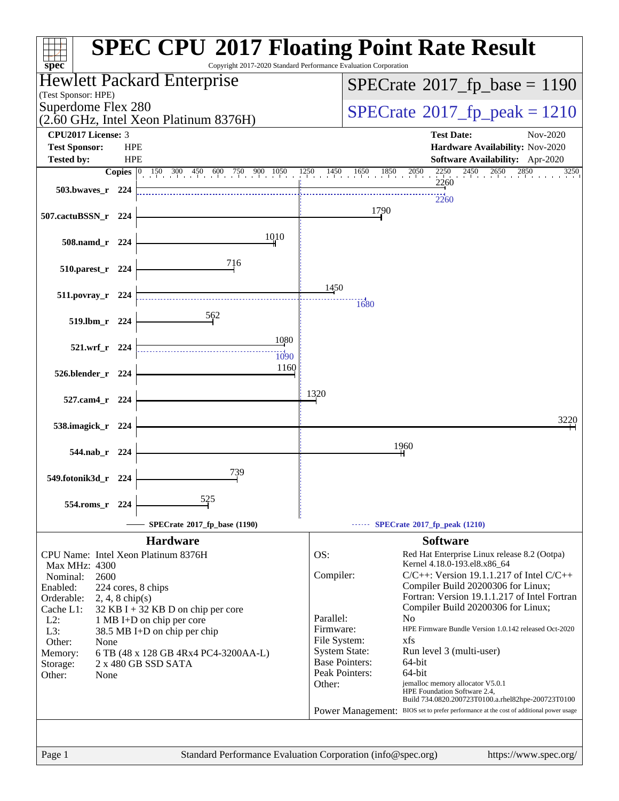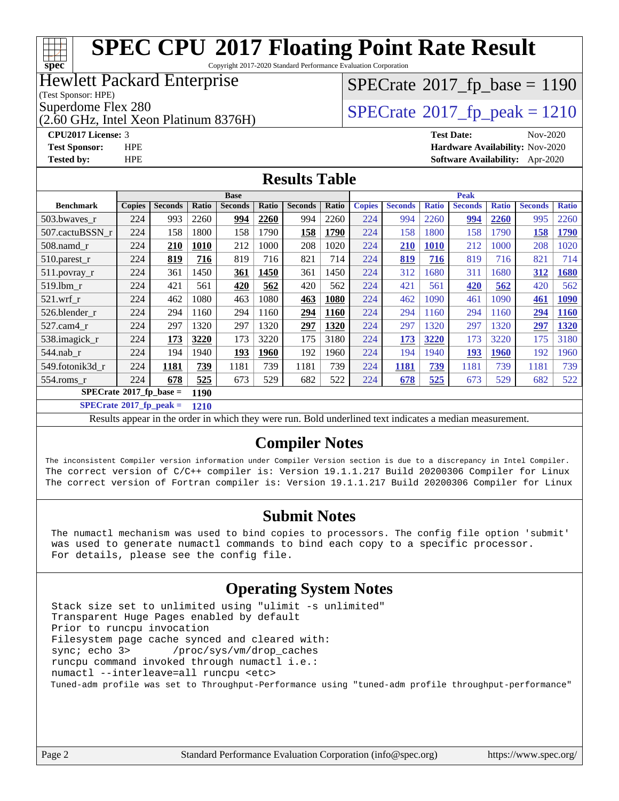## **[spec](http://www.spec.org/)**

## **[SPEC CPU](http://www.spec.org/auto/cpu2017/Docs/result-fields.html#SPECCPU2017FloatingPointRateResult)[2017 Floating Point Rate Result](http://www.spec.org/auto/cpu2017/Docs/result-fields.html#SPECCPU2017FloatingPointRateResult)**

Copyright 2017-2020 Standard Performance Evaluation Corporation

## Hewlett Packard Enterprise

(Test Sponsor: HPE)

(2.60 GHz, Intel Xeon Platinum 8376H)

Superdome Flex 280<br> $(2.60 \text{ GHz})$  Intel Year Platinum 8376H)  $\text{SPECrate}^{\circ}2017$  $\text{SPECrate}^{\circ}2017$  $\text{SPECrate}^{\circ}2017$  [p\_peak = 1210

#### **[CPU2017 License:](http://www.spec.org/auto/cpu2017/Docs/result-fields.html#CPU2017License)** 3 **[Test Date:](http://www.spec.org/auto/cpu2017/Docs/result-fields.html#TestDate)** Nov-2020 **[Test Sponsor:](http://www.spec.org/auto/cpu2017/Docs/result-fields.html#TestSponsor)** HPE **[Hardware Availability:](http://www.spec.org/auto/cpu2017/Docs/result-fields.html#HardwareAvailability)** Nov-2020 **[Tested by:](http://www.spec.org/auto/cpu2017/Docs/result-fields.html#Testedby)** HPE **[Software Availability:](http://www.spec.org/auto/cpu2017/Docs/result-fields.html#SoftwareAvailability)** Apr-2020

 $SPECTate@2017_fp\_base = 1190$ 

### **[Results Table](http://www.spec.org/auto/cpu2017/Docs/result-fields.html#ResultsTable)**

|                                                 | <b>Base</b>   |                |              |                |       |                |       | <b>Peak</b>   |                |              |                |              |                |              |  |  |
|-------------------------------------------------|---------------|----------------|--------------|----------------|-------|----------------|-------|---------------|----------------|--------------|----------------|--------------|----------------|--------------|--|--|
| <b>Benchmark</b>                                | <b>Copies</b> | <b>Seconds</b> | <b>Ratio</b> | <b>Seconds</b> | Ratio | <b>Seconds</b> | Ratio | <b>Copies</b> | <b>Seconds</b> | <b>Ratio</b> | <b>Seconds</b> | <b>Ratio</b> | <b>Seconds</b> | <b>Ratio</b> |  |  |
| 503.bwayes r                                    | 224           | 993            | 2260         | 994            | 2260  | 994            | 2260  | 224           | 994            | 2260         | 994            | 2260         | 995            | 2260         |  |  |
| 507.cactuBSSN r                                 | 224           | 158            | 1800         | 158            | 1790  | 158            | 1790  | 224           | 158            | 1800         | 158            | 790          | 158            | 1790         |  |  |
| $508$ .namd $_r$                                | 224           | 210            | 1010         | 212            | 1000  | 208            | 1020  | 224           | <b>210</b>     | 1010         | 212            | 1000         | 208            | 1020         |  |  |
| $510.parest_r$                                  | 224           | 819            | 716          | 819            | 716   | 821            | 714   | 224           | 819            | 716          | 819            | 716          | 821            | 714          |  |  |
| $511.$ povray_r                                 | 224           | 361            | 1450         | 361            | 1450  | 361            | 1450  | 224           | 312            | 1680         | 311            | 1680         | 312            | 1680         |  |  |
| 519.1bm r                                       | 224           | 421            | 561          | 420            | 562   | 420            | 562   | 224           | 421            | 561          | 420            | 562          | 420            | 562          |  |  |
| 521.wrf r                                       | 224           | 462            | 1080         | 463            | 1080  | 463            | 1080  | 224           | 462            | 1090         | 461            | 1090         | 461            | <b>1090</b>  |  |  |
| 526.blender_r                                   | 224           | 294            | 1160         | 294            | 1160  | 294            | 1160  | 224           | 294            | 1160         | 294            | 1160         | 294            | 1160         |  |  |
| $527$ .cam $4$ r                                | 224           | 297            | 1320         | 297            | 1320  | 297            | 1320  | 224           | 297            | 1320         | 297            | 320          | 297            | 1320         |  |  |
| 538.imagick_r                                   | 224           | 173            | 3220         | 173            | 3220  | 175            | 3180  | 224           | 173            | 3220         | 173            | 3220         | 175            | 3180         |  |  |
| 544.nab r                                       | 224           | 194            | 1940         | 193            | 1960  | 192            | 1960  | 224           | 194            | 1940         | <b>193</b>     | <b>1960</b>  | 192            | 1960         |  |  |
| 549.fotonik3d r                                 | 224           | 1181           | 739          | 1181           | 739   | 1181           | 739   | 224           | 1181           | 739          | 1181           | 739          | 1181           | 739          |  |  |
| $554$ .roms r                                   | 224           | 678            | 525          | 673            | 529   | 682            | 522   | 224           | 678            | 525          | 673            | 529          | 682            | 522          |  |  |
| $SPECrate^{\circ}2017$ fp base =<br><b>1190</b> |               |                |              |                |       |                |       |               |                |              |                |              |                |              |  |  |

### **[SPECrate](http://www.spec.org/auto/cpu2017/Docs/result-fields.html#SPECrate2017fppeak)[2017\\_fp\\_peak =](http://www.spec.org/auto/cpu2017/Docs/result-fields.html#SPECrate2017fppeak) 1210**

Results appear in the [order in which they were run](http://www.spec.org/auto/cpu2017/Docs/result-fields.html#RunOrder). Bold underlined text [indicates a median measurement](http://www.spec.org/auto/cpu2017/Docs/result-fields.html#Median).

## **[Compiler Notes](http://www.spec.org/auto/cpu2017/Docs/result-fields.html#CompilerNotes)**

The inconsistent Compiler version information under Compiler Version section is due to a discrepancy in Intel Compiler. The correct version of C/C++ compiler is: Version 19.1.1.217 Build 20200306 Compiler for Linux The correct version of Fortran compiler is: Version 19.1.1.217 Build 20200306 Compiler for Linux

## **[Submit Notes](http://www.spec.org/auto/cpu2017/Docs/result-fields.html#SubmitNotes)**

 The numactl mechanism was used to bind copies to processors. The config file option 'submit' was used to generate numactl commands to bind each copy to a specific processor. For details, please see the config file.

## **[Operating System Notes](http://www.spec.org/auto/cpu2017/Docs/result-fields.html#OperatingSystemNotes)**

 Stack size set to unlimited using "ulimit -s unlimited" Transparent Huge Pages enabled by default Prior to runcpu invocation Filesystem page cache synced and cleared with: sync; echo 3> /proc/sys/vm/drop\_caches runcpu command invoked through numactl i.e.: numactl --interleave=all runcpu <etc> Tuned-adm profile was set to Throughput-Performance using "tuned-adm profile throughput-performance"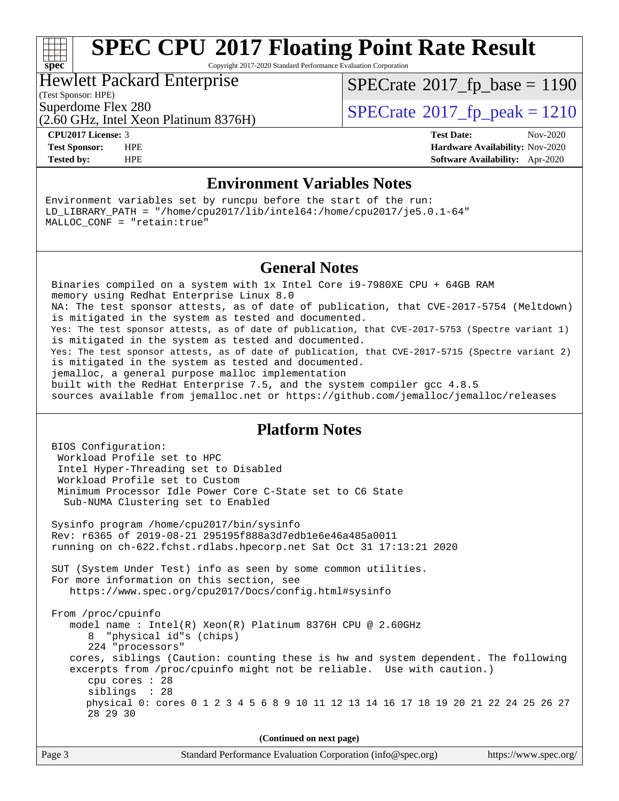## **[spec](http://www.spec.org/)**

## **[SPEC CPU](http://www.spec.org/auto/cpu2017/Docs/result-fields.html#SPECCPU2017FloatingPointRateResult)[2017 Floating Point Rate Result](http://www.spec.org/auto/cpu2017/Docs/result-fields.html#SPECCPU2017FloatingPointRateResult)**

Copyright 2017-2020 Standard Performance Evaluation Corporation

## Hewlett Packard Enterprise

[SPECrate](http://www.spec.org/auto/cpu2017/Docs/result-fields.html#SPECrate2017fpbase)<sup>®</sup>2017 fp base = 1190

(Test Sponsor: HPE)

(2.60 GHz, Intel Xeon Platinum 8376H)

Superdome Flex 280<br>  $SPECTR_{12}$  [SPECrate](http://www.spec.org/auto/cpu2017/Docs/result-fields.html#SPECrate2017fppeak)<sup>®</sup>2017 fp\_peak = 1210

**[CPU2017 License:](http://www.spec.org/auto/cpu2017/Docs/result-fields.html#CPU2017License)** 3 **[Test Date:](http://www.spec.org/auto/cpu2017/Docs/result-fields.html#TestDate)** Nov-2020 **[Test Sponsor:](http://www.spec.org/auto/cpu2017/Docs/result-fields.html#TestSponsor)** HPE **[Hardware Availability:](http://www.spec.org/auto/cpu2017/Docs/result-fields.html#HardwareAvailability)** Nov-2020 **[Tested by:](http://www.spec.org/auto/cpu2017/Docs/result-fields.html#Testedby)** HPE **[Software Availability:](http://www.spec.org/auto/cpu2017/Docs/result-fields.html#SoftwareAvailability)** Apr-2020

### **[Environment Variables Notes](http://www.spec.org/auto/cpu2017/Docs/result-fields.html#EnvironmentVariablesNotes)**

Environment variables set by runcpu before the start of the run: LD\_LIBRARY\_PATH = "/home/cpu2017/lib/intel64:/home/cpu2017/je5.0.1-64" MALLOC\_CONF = "retain:true"

### **[General Notes](http://www.spec.org/auto/cpu2017/Docs/result-fields.html#GeneralNotes)**

 Binaries compiled on a system with 1x Intel Core i9-7980XE CPU + 64GB RAM memory using Redhat Enterprise Linux 8.0 NA: The test sponsor attests, as of date of publication, that CVE-2017-5754 (Meltdown) is mitigated in the system as tested and documented. Yes: The test sponsor attests, as of date of publication, that CVE-2017-5753 (Spectre variant 1) is mitigated in the system as tested and documented. Yes: The test sponsor attests, as of date of publication, that CVE-2017-5715 (Spectre variant 2) is mitigated in the system as tested and documented. jemalloc, a general purpose malloc implementation built with the RedHat Enterprise 7.5, and the system compiler gcc 4.8.5 sources available from jemalloc.net or<https://github.com/jemalloc/jemalloc/releases>

## **[Platform Notes](http://www.spec.org/auto/cpu2017/Docs/result-fields.html#PlatformNotes)**

 BIOS Configuration: Workload Profile set to HPC Intel Hyper-Threading set to Disabled Workload Profile set to Custom Minimum Processor Idle Power Core C-State set to C6 State Sub-NUMA Clustering set to Enabled Sysinfo program /home/cpu2017/bin/sysinfo Rev: r6365 of 2019-08-21 295195f888a3d7edb1e6e46a485a0011 running on ch-622.fchst.rdlabs.hpecorp.net Sat Oct 31 17:13:21 2020 SUT (System Under Test) info as seen by some common utilities. For more information on this section, see <https://www.spec.org/cpu2017/Docs/config.html#sysinfo> From /proc/cpuinfo model name : Intel(R) Xeon(R) Platinum 8376H CPU @ 2.60GHz 8 "physical id"s (chips) 224 "processors" cores, siblings (Caution: counting these is hw and system dependent. The following excerpts from /proc/cpuinfo might not be reliable. Use with caution.) cpu cores : 28 siblings : 28 physical 0: cores 0 1 2 3 4 5 6 8 9 10 11 12 13 14 16 17 18 19 20 21 22 24 25 26 27 28 29 30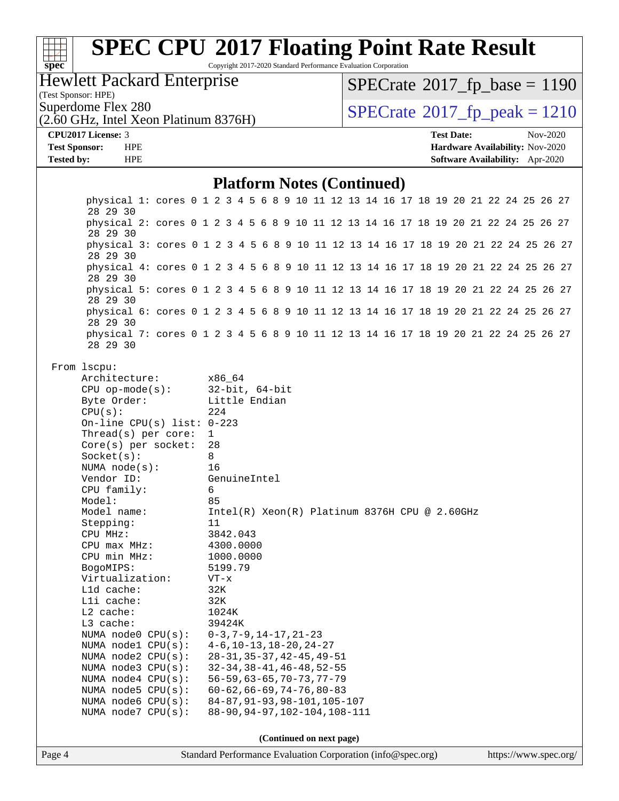| spec <sup>®</sup>                         |                                                                                                 |                          | <b>SPEC CPU®2017 Floating Point Rate Result</b>                                     |                 |           | Copyright 2017-2020 Standard Performance Evaluation Corporation             |  |                          |  |  |  |                   |                                                                    |  |          |                                        |
|-------------------------------------------|-------------------------------------------------------------------------------------------------|--------------------------|-------------------------------------------------------------------------------------|-----------------|-----------|-----------------------------------------------------------------------------|--|--------------------------|--|--|--|-------------------|--------------------------------------------------------------------|--|----------|----------------------------------------|
| (Test Sponsor: HPE)                       | <b>Hewlett Packard Enterprise</b>                                                               |                          |                                                                                     |                 |           |                                                                             |  |                          |  |  |  |                   |                                                                    |  |          | $SPECrate^{\circ}2017$ fp base = 1190  |
|                                           | Superdome Flex 280                                                                              |                          |                                                                                     |                 |           |                                                                             |  |                          |  |  |  |                   |                                                                    |  |          |                                        |
|                                           | (2.60 GHz, Intel Xeon Platinum 8376H)                                                           |                          |                                                                                     |                 |           |                                                                             |  |                          |  |  |  |                   |                                                                    |  |          | $SPECTate^{\circ}2017$ _fp_peak = 1210 |
|                                           | CPU2017 License: 3                                                                              |                          |                                                                                     |                 |           |                                                                             |  |                          |  |  |  | <b>Test Date:</b> |                                                                    |  | Nov-2020 |                                        |
| <b>Test Sponsor:</b><br><b>Tested by:</b> |                                                                                                 | <b>HPE</b><br><b>HPE</b> |                                                                                     |                 |           |                                                                             |  |                          |  |  |  |                   | Hardware Availability: Nov-2020<br>Software Availability: Apr-2020 |  |          |                                        |
|                                           |                                                                                                 |                          |                                                                                     |                 |           | <b>Platform Notes (Continued)</b>                                           |  |                          |  |  |  |                   |                                                                    |  |          |                                        |
|                                           | physical 1: cores 0 1 2 3 4 5 6 8 9 10 11 12 13 14 16 17 18 19 20 21 22 24 25 26 27             |                          |                                                                                     |                 |           |                                                                             |  |                          |  |  |  |                   |                                                                    |  |          |                                        |
|                                           | 28 29 30<br>physical 2: cores 0 1 2 3 4 5 6 8 9 10 11 12 13 14 16 17 18 19 20 21 22 24 25 26 27 |                          |                                                                                     |                 |           |                                                                             |  |                          |  |  |  |                   |                                                                    |  |          |                                        |
|                                           | 28 29 30                                                                                        |                          | physical 3: cores 0 1 2 3 4 5 6 8 9 10 11 12 13 14 16 17 18 19 20 21 22 24 25 26 27 |                 |           |                                                                             |  |                          |  |  |  |                   |                                                                    |  |          |                                        |
|                                           | 28 29 30                                                                                        |                          | physical 4: cores 0 1 2 3 4 5 6 8 9 10 11 12 13 14 16 17 18 19 20 21 22 24 25 26 27 |                 |           |                                                                             |  |                          |  |  |  |                   |                                                                    |  |          |                                        |
|                                           | 28 29 30                                                                                        |                          | physical 5: cores 0 1 2 3 4 5 6 8 9 10 11 12 13 14 16 17 18 19 20 21 22 24 25 26 27 |                 |           |                                                                             |  |                          |  |  |  |                   |                                                                    |  |          |                                        |
|                                           | 28 29 30                                                                                        |                          | physical 6: cores 0 1 2 3 4 5 6 8 9 10 11 12 13 14 16 17 18 19 20 21 22 24 25 26 27 |                 |           |                                                                             |  |                          |  |  |  |                   |                                                                    |  |          |                                        |
|                                           | 28 29 30                                                                                        |                          | physical 7: cores 0 1 2 3 4 5 6 8 9 10 11 12 13 14 16 17 18 19 20 21 22 24 25 26 27 |                 |           |                                                                             |  |                          |  |  |  |                   |                                                                    |  |          |                                        |
|                                           | 28 29 30                                                                                        |                          |                                                                                     |                 |           |                                                                             |  |                          |  |  |  |                   |                                                                    |  |          |                                        |
|                                           | From lscpu:<br>Architecture:                                                                    |                          |                                                                                     |                 | x86_64    |                                                                             |  |                          |  |  |  |                   |                                                                    |  |          |                                        |
|                                           | $CPU$ op-mode( $s$ ):                                                                           |                          |                                                                                     |                 |           | $32$ -bit, $64$ -bit                                                        |  |                          |  |  |  |                   |                                                                    |  |          |                                        |
|                                           | Byte Order:                                                                                     |                          |                                                                                     |                 |           | Little Endian                                                               |  |                          |  |  |  |                   |                                                                    |  |          |                                        |
|                                           | CPU(s):                                                                                         |                          |                                                                                     | 224             |           |                                                                             |  |                          |  |  |  |                   |                                                                    |  |          |                                        |
|                                           | On-line CPU(s) list: $0-223$<br>Thread(s) per core:                                             |                          |                                                                                     | 1               |           |                                                                             |  |                          |  |  |  |                   |                                                                    |  |          |                                        |
|                                           | $Core(s)$ per socket:                                                                           |                          |                                                                                     | 28              |           |                                                                             |  |                          |  |  |  |                   |                                                                    |  |          |                                        |
|                                           | Socket(s):                                                                                      |                          |                                                                                     | 8               |           |                                                                             |  |                          |  |  |  |                   |                                                                    |  |          |                                        |
|                                           | NUMA $node(s):$<br>Vendor ID:                                                                   |                          |                                                                                     | 16              |           | GenuineIntel                                                                |  |                          |  |  |  |                   |                                                                    |  |          |                                        |
|                                           | CPU family:                                                                                     |                          |                                                                                     | 6               |           |                                                                             |  |                          |  |  |  |                   |                                                                    |  |          |                                        |
|                                           | Model:                                                                                          |                          |                                                                                     | 85              |           |                                                                             |  |                          |  |  |  |                   |                                                                    |  |          |                                        |
|                                           | Model name:                                                                                     |                          |                                                                                     |                 |           | $Intel(R)$ Xeon $(R)$ Platinum 8376H CPU @ 2.60GHz                          |  |                          |  |  |  |                   |                                                                    |  |          |                                        |
|                                           | Stepping:<br>CPU MHz:                                                                           |                          |                                                                                     | 11              | 3842.043  |                                                                             |  |                          |  |  |  |                   |                                                                    |  |          |                                        |
|                                           | $CPU$ max $MHz$ :                                                                               |                          |                                                                                     |                 | 4300.0000 |                                                                             |  |                          |  |  |  |                   |                                                                    |  |          |                                        |
|                                           | CPU min MHz:                                                                                    |                          |                                                                                     |                 | 1000.0000 |                                                                             |  |                          |  |  |  |                   |                                                                    |  |          |                                        |
|                                           | BogoMIPS:                                                                                       |                          |                                                                                     |                 | 5199.79   |                                                                             |  |                          |  |  |  |                   |                                                                    |  |          |                                        |
|                                           | Virtualization:<br>L1d cache:                                                                   |                          |                                                                                     | $VT - x$<br>32K |           |                                                                             |  |                          |  |  |  |                   |                                                                    |  |          |                                        |
|                                           | Lli cache:                                                                                      |                          |                                                                                     | 32K             |           |                                                                             |  |                          |  |  |  |                   |                                                                    |  |          |                                        |
|                                           | L2 cache:                                                                                       |                          |                                                                                     | 1024K           |           |                                                                             |  |                          |  |  |  |                   |                                                                    |  |          |                                        |
|                                           | L3 cache:                                                                                       |                          |                                                                                     |                 | 39424K    |                                                                             |  |                          |  |  |  |                   |                                                                    |  |          |                                        |
|                                           | NUMA node0 CPU(s):<br>NUMA nodel CPU(s):                                                        |                          |                                                                                     |                 |           | $0-3, 7-9, 14-17, 21-23$                                                    |  |                          |  |  |  |                   |                                                                    |  |          |                                        |
|                                           | NUMA node2 CPU(s):                                                                              |                          |                                                                                     |                 |           | $4-6$ , $10-13$ , $18-20$ , $24-27$<br>$28 - 31, 35 - 37, 42 - 45, 49 - 51$ |  |                          |  |  |  |                   |                                                                    |  |          |                                        |
|                                           | NUMA node3 CPU(s):                                                                              |                          |                                                                                     |                 |           | $32 - 34, 38 - 41, 46 - 48, 52 - 55$                                        |  |                          |  |  |  |                   |                                                                    |  |          |                                        |
|                                           | NUMA node4 CPU(s):                                                                              |                          |                                                                                     |                 |           | $56 - 59, 63 - 65, 70 - 73, 77 - 79$                                        |  |                          |  |  |  |                   |                                                                    |  |          |                                        |
|                                           | NUMA node5 CPU(s):                                                                              |                          |                                                                                     |                 |           | $60 - 62, 66 - 69, 74 - 76, 80 - 83$                                        |  |                          |  |  |  |                   |                                                                    |  |          |                                        |
|                                           | NUMA node6 CPU(s):<br>NUMA node7 CPU(s):                                                        |                          |                                                                                     |                 |           | 84-87, 91-93, 98-101, 105-107<br>88-90, 94-97, 102-104, 108-111             |  |                          |  |  |  |                   |                                                                    |  |          |                                        |
|                                           |                                                                                                 |                          |                                                                                     |                 |           |                                                                             |  |                          |  |  |  |                   |                                                                    |  |          |                                        |
|                                           |                                                                                                 |                          |                                                                                     |                 |           |                                                                             |  | (Continued on next page) |  |  |  |                   |                                                                    |  |          |                                        |

Page 4 Standard Performance Evaluation Corporation [\(info@spec.org\)](mailto:info@spec.org) <https://www.spec.org/>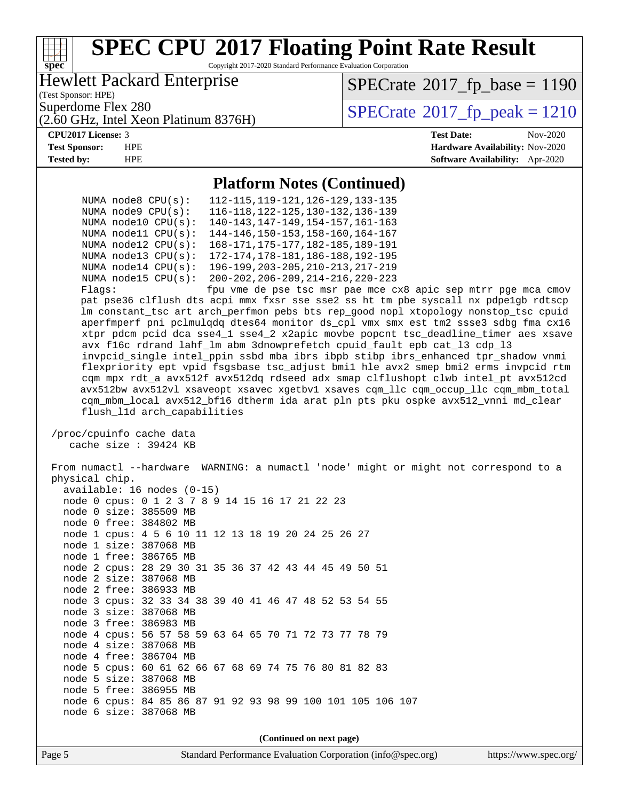

 NUMA node12 CPU(s): 168-171,175-177,182-185,189-191 NUMA node13 CPU(s): 172-174,178-181,186-188,192-195

 NUMA node14 CPU(s): 196-199,203-205,210-213,217-219 NUMA node15 CPU(s): 200-202,206-209,214-216,220-223 Flags: fpu vme de pse tsc msr pae mce cx8 apic sep mtrr pge mca cmov pat pse36 clflush dts acpi mmx fxsr sse sse2 ss ht tm pbe syscall nx pdpe1gb rdtscp lm constant\_tsc art arch\_perfmon pebs bts rep\_good nopl xtopology nonstop\_tsc cpuid aperfmperf pni pclmulqdq dtes64 monitor ds\_cpl vmx smx est tm2 ssse3 sdbg fma cx16 xtpr pdcm pcid dca sse4\_1 sse4\_2 x2apic movbe popcnt tsc\_deadline\_timer aes xsave avx f16c rdrand lahf\_lm abm 3dnowprefetch cpuid\_fault epb cat\_l3 cdp\_l3 invpcid\_single intel\_ppin ssbd mba ibrs ibpb stibp ibrs\_enhanced tpr\_shadow vnmi flexpriority ept vpid fsgsbase tsc\_adjust bmi1 hle avx2 smep bmi2 erms invpcid rtm cqm mpx rdt\_a avx512f avx512dq rdseed adx smap clflushopt clwb intel\_pt avx512cd avx512bw avx512vl xsaveopt xsavec xgetbv1 xsaves cqm\_llc cqm\_occup\_llc cqm\_mbm\_total

cqm\_mbm\_local avx512\_bf16 dtherm ida arat pln pts pku ospke avx512\_vnni md\_clear

 /proc/cpuinfo cache data cache size : 39424 KB

flush\_l1d arch\_capabilities

 From numactl --hardware WARNING: a numactl 'node' might or might not correspond to a physical chip. available: 16 nodes (0-15) node 0 cpus: 0 1 2 3 7 8 9 14 15 16 17 21 22 23 node 0 size: 385509 MB node 0 free: 384802 MB node 1 cpus: 4 5 6 10 11 12 13 18 19 20 24 25 26 27 node 1 size: 387068 MB node 1 free: 386765 MB node 2 cpus: 28 29 30 31 35 36 37 42 43 44 45 49 50 51 node 2 size: 387068 MB node 2 free: 386933 MB node 3 cpus: 32 33 34 38 39 40 41 46 47 48 52 53 54 55 node 3 size: 387068 MB node 3 free: 386983 MB node 4 cpus: 56 57 58 59 63 64 65 70 71 72 73 77 78 79 node 4 size: 387068 MB node 4 free: 386704 MB node 5 cpus: 60 61 62 66 67 68 69 74 75 76 80 81 82 83 node 5 size: 387068 MB node 5 free: 386955 MB node 6 cpus: 84 85 86 87 91 92 93 98 99 100 101 105 106 107 node 6 size: 387068 MB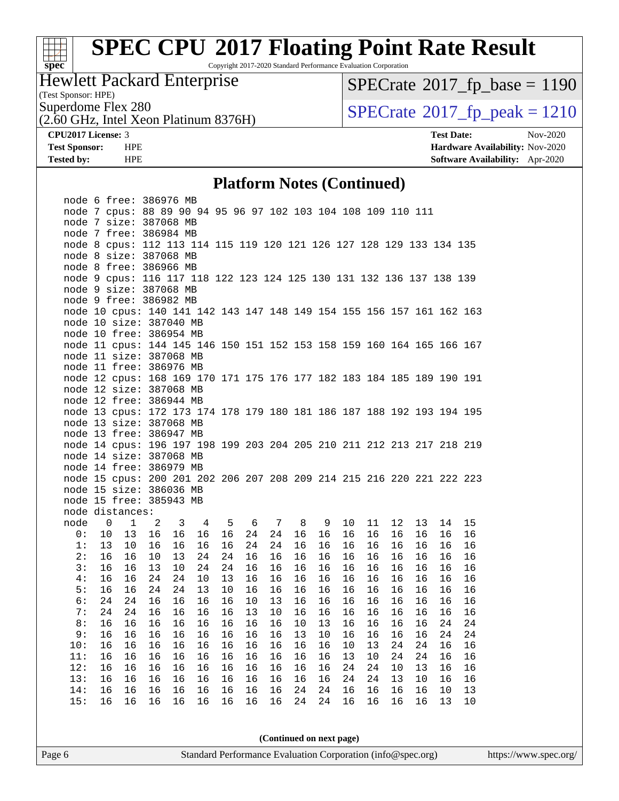

Copyright 2017-2020 Standard Performance Evaluation Corporation

## Hewlett Packard Enterprise

(Test Sponsor: HPE)

 $SPECrate@2017_fp\_base = 1190$  $SPECrate@2017_fp\_base = 1190$ 

(2.60 GHz, Intel Xeon Platinum 8376H)

Superdome Flex 280<br>  $\overline{O}$  60 GHz, Intel Xeon Platinum 8376H)<br>  $SPECTate$ <sup>®</sup>[2017\\_fp\\_peak = 1](http://www.spec.org/auto/cpu2017/Docs/result-fields.html#SPECrate2017fppeak)210

**[CPU2017 License:](http://www.spec.org/auto/cpu2017/Docs/result-fields.html#CPU2017License)** 3 **[Test Date:](http://www.spec.org/auto/cpu2017/Docs/result-fields.html#TestDate)** Nov-2020 **[Test Sponsor:](http://www.spec.org/auto/cpu2017/Docs/result-fields.html#TestSponsor)** HPE **[Hardware Availability:](http://www.spec.org/auto/cpu2017/Docs/result-fields.html#HardwareAvailability)** Nov-2020 **[Tested by:](http://www.spec.org/auto/cpu2017/Docs/result-fields.html#Testedby)** HPE **[Software Availability:](http://www.spec.org/auto/cpu2017/Docs/result-fields.html#SoftwareAvailability)** Apr-2020

### **[Platform Notes \(Continued\)](http://www.spec.org/auto/cpu2017/Docs/result-fields.html#PlatformNotes)**

|      |             | node 6 free: 386976 MB                                                |    |    |    |    |    |    |    |    |    |    |    |    |    |    |
|------|-------------|-----------------------------------------------------------------------|----|----|----|----|----|----|----|----|----|----|----|----|----|----|
|      |             | node 7 cpus: 88 89 90 94 95 96 97 102 103 104 108 109 110 111         |    |    |    |    |    |    |    |    |    |    |    |    |    |    |
|      |             | node 7 size: 387068 MB                                                |    |    |    |    |    |    |    |    |    |    |    |    |    |    |
|      |             | node 7 free: 386984 MB                                                |    |    |    |    |    |    |    |    |    |    |    |    |    |    |
|      |             | node 8 cpus: 112 113 114 115 119 120 121 126 127 128 129 133 134 135  |    |    |    |    |    |    |    |    |    |    |    |    |    |    |
|      |             | node 8 size: 387068 MB                                                |    |    |    |    |    |    |    |    |    |    |    |    |    |    |
|      |             | node 8 free: 386966 MB                                                |    |    |    |    |    |    |    |    |    |    |    |    |    |    |
|      |             | node 9 cpus: 116 117 118 122 123 124 125 130 131 132 136 137 138 139  |    |    |    |    |    |    |    |    |    |    |    |    |    |    |
|      |             | node 9 size: 387068 MB                                                |    |    |    |    |    |    |    |    |    |    |    |    |    |    |
|      |             | node 9 free: 386982 MB                                                |    |    |    |    |    |    |    |    |    |    |    |    |    |    |
|      |             | node 10 cpus: 140 141 142 143 147 148 149 154 155 156 157 161 162 163 |    |    |    |    |    |    |    |    |    |    |    |    |    |    |
|      |             | node 10 size: 387040 MB                                               |    |    |    |    |    |    |    |    |    |    |    |    |    |    |
|      |             | node 10 free: 386954 MB                                               |    |    |    |    |    |    |    |    |    |    |    |    |    |    |
|      |             | node 11 cpus: 144 145 146 150 151 152 153 158 159 160 164 165 166 167 |    |    |    |    |    |    |    |    |    |    |    |    |    |    |
|      |             | node 11 size: 387068 MB                                               |    |    |    |    |    |    |    |    |    |    |    |    |    |    |
|      |             | node 11 free: 386976 MB                                               |    |    |    |    |    |    |    |    |    |    |    |    |    |    |
|      |             | node 12 cpus: 168 169 170 171 175 176 177 182 183 184 185 189 190 191 |    |    |    |    |    |    |    |    |    |    |    |    |    |    |
|      |             | node 12 size: 387068 MB                                               |    |    |    |    |    |    |    |    |    |    |    |    |    |    |
|      |             | node 12 free: 386944 MB                                               |    |    |    |    |    |    |    |    |    |    |    |    |    |    |
|      |             | node 13 cpus: 172 173 174 178 179 180 181 186 187 188 192 193 194 195 |    |    |    |    |    |    |    |    |    |    |    |    |    |    |
|      |             | node 13 size: 387068 MB                                               |    |    |    |    |    |    |    |    |    |    |    |    |    |    |
|      |             | node 13 free: 386947 MB                                               |    |    |    |    |    |    |    |    |    |    |    |    |    |    |
|      |             | node 14 cpus: 196 197 198 199 203 204 205 210 211 212 213 217 218 219 |    |    |    |    |    |    |    |    |    |    |    |    |    |    |
|      |             | node 14 size: 387068 MB                                               |    |    |    |    |    |    |    |    |    |    |    |    |    |    |
|      |             | node 14 free: 386979 MB                                               |    |    |    |    |    |    |    |    |    |    |    |    |    |    |
|      |             | node 15 cpus: 200 201 202 206 207 208 209 214 215 216 220 221 222 223 |    |    |    |    |    |    |    |    |    |    |    |    |    |    |
|      |             | node 15 size: 386036 MB                                               |    |    |    |    |    |    |    |    |    |    |    |    |    |    |
|      |             | node 15 free: 385943 MB                                               |    |    |    |    |    |    |    |    |    |    |    |    |    |    |
|      |             | node distances:                                                       |    |    |    |    |    |    |    |    |    |    |    |    |    |    |
| node | $\mathbf 0$ | $\mathbf{1}$                                                          | 2  | 3  | 4  | 5  | 6  | 7  | 8  | 9  | 10 | 11 | 12 | 13 | 14 | 15 |
| 0 :  | 10          | 13                                                                    | 16 | 16 | 16 | 16 | 24 | 24 | 16 | 16 | 16 | 16 | 16 | 16 | 16 | 16 |
| 1:   | 13          | $10$                                                                  | 16 | 16 | 16 | 16 | 24 | 24 | 16 | 16 | 16 | 16 | 16 | 16 | 16 | 16 |
| 2:   | 16          | 16                                                                    | 10 | 13 | 24 | 24 | 16 | 16 | 16 | 16 | 16 | 16 | 16 | 16 | 16 | 16 |
| 3:   | 16          | 16                                                                    | 13 | 10 | 24 | 24 | 16 | 16 | 16 | 16 | 16 | 16 | 16 | 16 | 16 | 16 |
| 4:   | 16          | 16                                                                    | 24 | 24 | 10 | 13 | 16 | 16 | 16 | 16 | 16 | 16 | 16 | 16 | 16 | 16 |
| 5:   | 16          | 16                                                                    | 24 | 24 | 13 | 10 | 16 | 16 | 16 | 16 | 16 | 16 | 16 | 16 | 16 | 16 |
| 6:   | 24          | 24                                                                    | 16 | 16 | 16 | 16 | 10 | 13 | 16 | 16 | 16 | 16 | 16 | 16 | 16 | 16 |
| 7:   | 24          | 24                                                                    | 16 | 16 | 16 | 16 | 13 | 10 | 16 | 16 | 16 | 16 | 16 | 16 | 16 | 16 |
| 8:   | 16          | 16                                                                    | 16 | 16 | 16 | 16 | 16 | 16 | 10 | 13 | 16 | 16 | 16 | 16 | 24 | 24 |
| 9:   | 16          | 16                                                                    | 16 | 16 | 16 | 16 | 16 | 16 | 13 | 10 | 16 | 16 | 16 | 16 | 24 | 24 |
| 10:  | 16          | 16                                                                    | 16 | 16 | 16 | 16 | 16 | 16 | 16 | 16 | 10 | 13 | 24 | 24 | 16 | 16 |
| 11:  | 16          | 16                                                                    | 16 | 16 | 16 | 16 | 16 | 16 | 16 | 16 | 13 | 10 | 24 | 24 | 16 | 16 |
| 12:  | 16          | 16                                                                    | 16 | 16 | 16 | 16 | 16 | 16 | 16 | 16 | 24 | 24 | 10 | 13 | 16 | 16 |
| 13:  | 16          | 16                                                                    | 16 | 16 | 16 | 16 | 16 | 16 | 16 | 16 | 24 | 24 | 13 | 10 | 16 | 16 |
| 14:  | 16          | 16                                                                    | 16 | 16 | 16 | 16 | 16 | 16 | 24 | 24 | 16 | 16 | 16 | 16 | 10 | 13 |
| 15:  | 16          | 16                                                                    | 16 | 16 | 16 | 16 | 16 | 16 | 24 | 24 | 16 | 16 | 16 | 16 | 13 | 10 |
|      |             |                                                                       |    |    |    |    |    |    |    |    |    |    |    |    |    |    |
|      |             |                                                                       |    |    |    |    |    |    |    |    |    |    |    |    |    |    |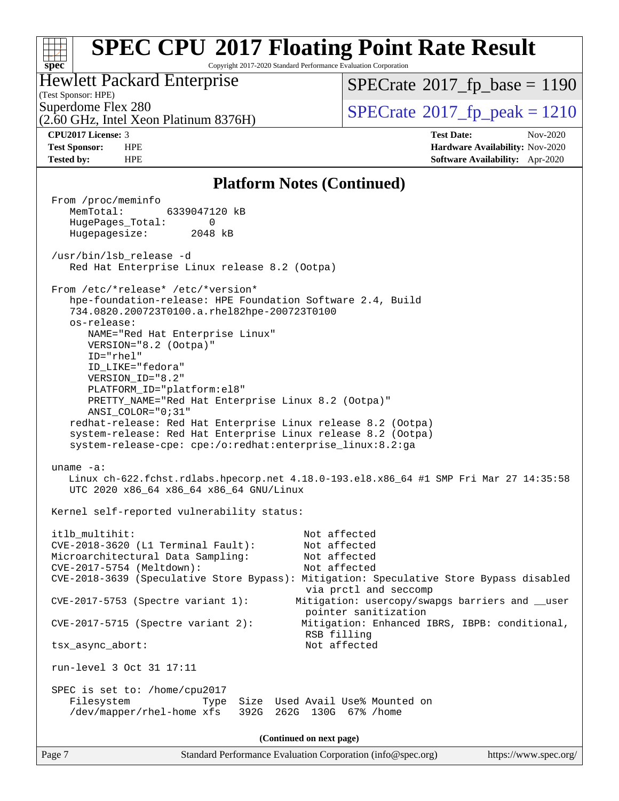#### **[SPEC CPU](http://www.spec.org/auto/cpu2017/Docs/result-fields.html#SPECCPU2017FloatingPointRateResult)[2017 Floating Point Rate Result](http://www.spec.org/auto/cpu2017/Docs/result-fields.html#SPECCPU2017FloatingPointRateResult)**  $+\ +$ **[spec](http://www.spec.org/)** Copyright 2017-2020 Standard Performance Evaluation Corporation Hewlett Packard Enterprise  $SPECrate@2017_fp\_base = 1190$  $SPECrate@2017_fp\_base = 1190$

(Test Sponsor: HPE)

(2.60 GHz, Intel Xeon Platinum 8376H)

 $SPECTate@2017_fp\_peak = 1210$ 

**[CPU2017 License:](http://www.spec.org/auto/cpu2017/Docs/result-fields.html#CPU2017License)** 3 **[Test Date:](http://www.spec.org/auto/cpu2017/Docs/result-fields.html#TestDate)** Nov-2020 **[Test Sponsor:](http://www.spec.org/auto/cpu2017/Docs/result-fields.html#TestSponsor)** HPE **[Hardware Availability:](http://www.spec.org/auto/cpu2017/Docs/result-fields.html#HardwareAvailability)** Nov-2020 **[Tested by:](http://www.spec.org/auto/cpu2017/Docs/result-fields.html#Testedby)** HPE **[Software Availability:](http://www.spec.org/auto/cpu2017/Docs/result-fields.html#SoftwareAvailability)** Apr-2020

### **[Platform Notes \(Continued\)](http://www.spec.org/auto/cpu2017/Docs/result-fields.html#PlatformNotes)**

| Page 7<br>Standard Performance Evaluation Corporation (info@spec.org)<br>https://www.spec.org/                                                                                                           |
|----------------------------------------------------------------------------------------------------------------------------------------------------------------------------------------------------------|
| (Continued on next page)                                                                                                                                                                                 |
| SPEC is set to: /home/cpu2017<br>Size Used Avail Use% Mounted on<br>Filesystem<br>Type<br>/dev/mapper/rhel-home xfs<br>392G<br>262G<br>130G 67% / home                                                   |
| run-level 3 Oct 31 17:11                                                                                                                                                                                 |
| RSB filling<br>Not affected<br>tsx_async_abort:                                                                                                                                                          |
| $CVE-2017-5753$ (Spectre variant 1):<br>Mitigation: usercopy/swapgs barriers and __user<br>pointer sanitization<br>Mitigation: Enhanced IBRS, IBPB: conditional,<br>$CVE-2017-5715$ (Spectre variant 2): |
| CVE-2018-3639 (Speculative Store Bypass): Mitigation: Speculative Store Bypass disabled<br>via prctl and seccomp                                                                                         |
| CVE-2017-5754 (Meltdown):<br>Not affected                                                                                                                                                                |
| Microarchitectural Data Sampling:<br>Not affected                                                                                                                                                        |
| Not affected<br>itlb_multihit:<br>CVE-2018-3620 (L1 Terminal Fault):<br>Not affected                                                                                                                     |
| Kernel self-reported vulnerability status:                                                                                                                                                               |
| uname $-a$ :<br>Linux ch-622.fchst.rdlabs.hpecorp.net 4.18.0-193.el8.x86_64 #1 SMP Fri Mar 27 14:35:58<br>UTC 2020 x86_64 x86_64 x86_64 GNU/Linux                                                        |
| system-release: Red Hat Enterprise Linux release 8.2 (Ootpa)<br>system-release-cpe: cpe:/o:redhat:enterprise_linux:8.2:ga                                                                                |
| ANSI_COLOR="0;31"<br>redhat-release: Red Hat Enterprise Linux release 8.2 (Ootpa)                                                                                                                        |
| PRETTY_NAME="Red Hat Enterprise Linux 8.2 (Ootpa)"                                                                                                                                                       |
| VERSION_ID="8.2"<br>PLATFORM_ID="platform:el8"                                                                                                                                                           |
| ID_LIKE="fedora"                                                                                                                                                                                         |
| VERSION="8.2 (Ootpa)"<br>$ID="rhe1"$                                                                                                                                                                     |
| os-release:<br>NAME="Red Hat Enterprise Linux"                                                                                                                                                           |
| From /etc/*release* /etc/*version*<br>hpe-foundation-release: HPE Foundation Software 2.4, Build<br>734.0820.200723T0100.a.rhel82hpe-200723T0100                                                         |
| Red Hat Enterprise Linux release 8.2 (Ootpa)                                                                                                                                                             |
| /usr/bin/lsb_release -d                                                                                                                                                                                  |
| Hugepagesize: 2048 kB                                                                                                                                                                                    |
| MemTotal:<br>6339047120 kB<br>HugePages_Total:<br>0                                                                                                                                                      |
| From /proc/meminfo                                                                                                                                                                                       |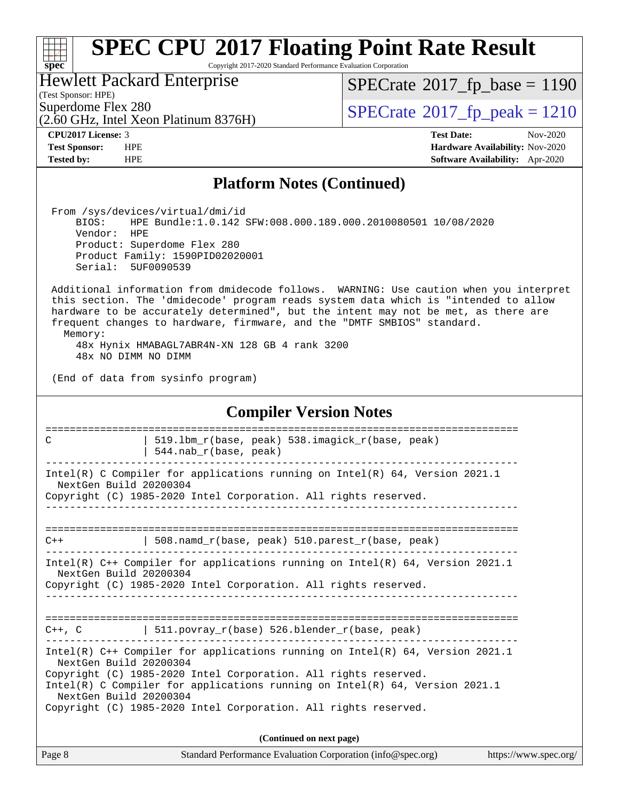### $\pm\pm\tau$ **[spec](http://www.spec.org/)**

## **[SPEC CPU](http://www.spec.org/auto/cpu2017/Docs/result-fields.html#SPECCPU2017FloatingPointRateResult)[2017 Floating Point Rate Result](http://www.spec.org/auto/cpu2017/Docs/result-fields.html#SPECCPU2017FloatingPointRateResult)**

Copyright 2017-2020 Standard Performance Evaluation Corporation

Hewlett Packard Enterprise

(2.60 GHz, Intel Xeon Platinum 8376H)

 $SPECTate@2017_fp\_base = 1190$ 

(Test Sponsor: HPE)

Superdome Flex 280<br> $(2.60 \text{ GHz})$  Intel Year Platinum 8376H)  $\text{SPECrate}^{\circ}2017$  $\text{SPECrate}^{\circ}2017$  $\text{SPECrate}^{\circ}2017$  [p\_peak = 1210

**[CPU2017 License:](http://www.spec.org/auto/cpu2017/Docs/result-fields.html#CPU2017License)** 3 **[Test Date:](http://www.spec.org/auto/cpu2017/Docs/result-fields.html#TestDate)** Nov-2020 **[Test Sponsor:](http://www.spec.org/auto/cpu2017/Docs/result-fields.html#TestSponsor)** HPE **[Hardware Availability:](http://www.spec.org/auto/cpu2017/Docs/result-fields.html#HardwareAvailability)** Nov-2020 **[Tested by:](http://www.spec.org/auto/cpu2017/Docs/result-fields.html#Testedby)** HPE **[Software Availability:](http://www.spec.org/auto/cpu2017/Docs/result-fields.html#SoftwareAvailability)** Apr-2020

### **[Platform Notes \(Continued\)](http://www.spec.org/auto/cpu2017/Docs/result-fields.html#PlatformNotes)**

 From /sys/devices/virtual/dmi/id BIOS: HPE Bundle:1.0.142 SFW:008.000.189.000.2010080501 10/08/2020 Vendor: HPE Product: Superdome Flex 280 Product Family: 1590PID02020001 Serial: 5UF0090539

 Additional information from dmidecode follows. WARNING: Use caution when you interpret this section. The 'dmidecode' program reads system data which is "intended to allow hardware to be accurately determined", but the intent may not be met, as there are frequent changes to hardware, firmware, and the "DMTF SMBIOS" standard. Memory:

 48x Hynix HMABAGL7ABR4N-XN 128 GB 4 rank 3200 48x NO DIMM NO DIMM

(End of data from sysinfo program)

| <b>Compiler Version Notes</b>                                                                                                                                                                                                                                                                                                                               |  |  |  |  |  |  |
|-------------------------------------------------------------------------------------------------------------------------------------------------------------------------------------------------------------------------------------------------------------------------------------------------------------------------------------------------------------|--|--|--|--|--|--|
| 519.1bm r(base, peak) 538.imagick r(base, peak)<br>C<br>544.nab_r(base, peak)                                                                                                                                                                                                                                                                               |  |  |  |  |  |  |
| Intel(R) C Compiler for applications running on Intel(R) $64$ , Version 2021.1<br>NextGen Build 20200304<br>Copyright (C) 1985-2020 Intel Corporation. All rights reserved.                                                                                                                                                                                 |  |  |  |  |  |  |
| -------------------------<br>  508. namd $r(base, peak)$ 510. parest $r(base, peak)$<br>$C++$                                                                                                                                                                                                                                                               |  |  |  |  |  |  |
| Intel(R) $C++$ Compiler for applications running on Intel(R) 64, Version 2021.1<br>NextGen Build 20200304<br>Copyright (C) 1985-2020 Intel Corporation. All rights reserved.                                                                                                                                                                                |  |  |  |  |  |  |
| $C++$ , C $\qquad \qquad$ 511. povray_r(base) 526. blender_r(base, peak)                                                                                                                                                                                                                                                                                    |  |  |  |  |  |  |
| Intel(R) $C++$ Compiler for applications running on Intel(R) 64, Version 2021.1<br>NextGen Build 20200304<br>Copyright (C) 1985-2020 Intel Corporation. All rights reserved.<br>Intel(R) C Compiler for applications running on Intel(R) $64$ , Version 2021.1<br>NextGen Build 20200304<br>Copyright (C) 1985-2020 Intel Corporation. All rights reserved. |  |  |  |  |  |  |
| (Continued on next page)                                                                                                                                                                                                                                                                                                                                    |  |  |  |  |  |  |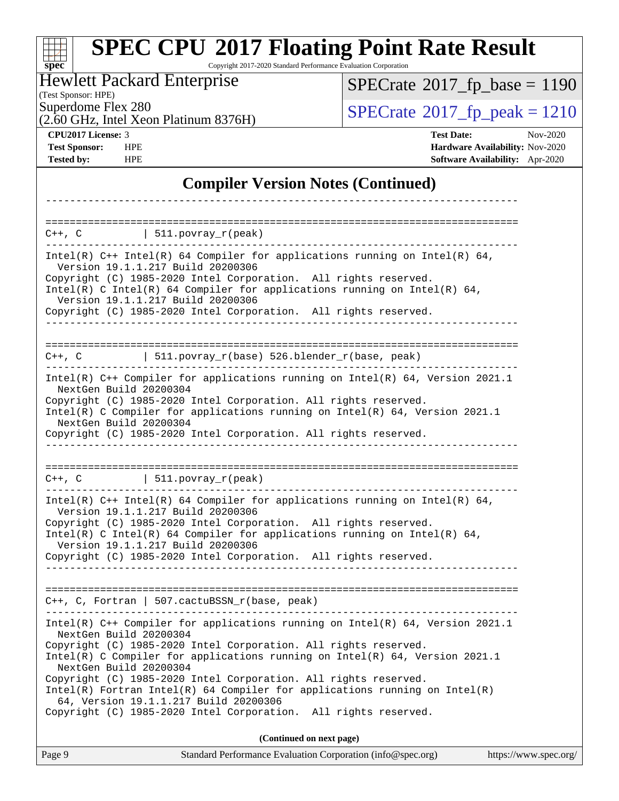### Page 9 Standard Performance Evaluation Corporation [\(info@spec.org\)](mailto:info@spec.org) <https://www.spec.org/> **[spec](http://www.spec.org/) [SPEC CPU](http://www.spec.org/auto/cpu2017/Docs/result-fields.html#SPECCPU2017FloatingPointRateResult)[2017 Floating Point Rate Result](http://www.spec.org/auto/cpu2017/Docs/result-fields.html#SPECCPU2017FloatingPointRateResult)** Copyright 2017-2020 Standard Performance Evaluation Corporation (Test Sponsor: HPE) Hewlett Packard Enterprise (2.60 GHz, Intel Xeon Platinum 8376H) Superdome Flex 280<br>  $SPECTA = 1210$ <br>  $SPECTA = 2017$  fp\_peak = 1210  $SPECTate@2017_fp\_base = 1190$ **[CPU2017 License:](http://www.spec.org/auto/cpu2017/Docs/result-fields.html#CPU2017License)** 3 **[Test Date:](http://www.spec.org/auto/cpu2017/Docs/result-fields.html#TestDate)** Nov-2020 **[Test Sponsor:](http://www.spec.org/auto/cpu2017/Docs/result-fields.html#TestSponsor)** HPE **[Hardware Availability:](http://www.spec.org/auto/cpu2017/Docs/result-fields.html#HardwareAvailability)** Nov-2020 **[Tested by:](http://www.spec.org/auto/cpu2017/Docs/result-fields.html#Testedby)** HPE **[Software Availability:](http://www.spec.org/auto/cpu2017/Docs/result-fields.html#SoftwareAvailability)** Apr-2020 **[Compiler Version Notes \(Continued\)](http://www.spec.org/auto/cpu2017/Docs/result-fields.html#CompilerVersionNotes)** ------------------------------------------------------------------------------ ==============================================================================  $C++$ ,  $C$  | 511.povray\_r(peak) ------------------------------------------------------------------------------ Intel(R) C++ Intel(R) 64 Compiler for applications running on Intel(R)  $64$ , Version 19.1.1.217 Build 20200306 Copyright (C) 1985-2020 Intel Corporation. All rights reserved. Intel(R) C Intel(R) 64 Compiler for applications running on Intel(R)  $64$ , Version 19.1.1.217 Build 20200306 Copyright (C) 1985-2020 Intel Corporation. All rights reserved. ------------------------------------------------------------------------------ ==============================================================================  $C++$ ,  $C$  | 511.povray\_r(base) 526.blender\_r(base, peak) ------------------------------------------------------------------------------ Intel(R) C++ Compiler for applications running on Intel(R) 64, Version 2021.1 NextGen Build 20200304 Copyright (C) 1985-2020 Intel Corporation. All rights reserved. Intel(R) C Compiler for applications running on Intel(R) 64, Version 2021.1 NextGen Build 20200304 Copyright (C) 1985-2020 Intel Corporation. All rights reserved. ------------------------------------------------------------------------------ ==============================================================================  $C_{++}$ ,  $C$  | 511.povray\_r(peak) ------------------------------------------------------------------------------ Intel(R) C++ Intel(R) 64 Compiler for applications running on Intel(R) 64, Version 19.1.1.217 Build 20200306 Copyright (C) 1985-2020 Intel Corporation. All rights reserved. Intel(R) C Intel(R) 64 Compiler for applications running on Intel(R)  $64$ , Version 19.1.1.217 Build 20200306 Copyright (C) 1985-2020 Intel Corporation. All rights reserved. ------------------------------------------------------------------------------ ============================================================================== C++, C, Fortran | 507.cactuBSSN\_r(base, peak) ------------------------------------------------------------------------------ Intel(R) C++ Compiler for applications running on Intel(R) 64, Version 2021.1 NextGen Build 20200304 Copyright (C) 1985-2020 Intel Corporation. All rights reserved. Intel(R) C Compiler for applications running on Intel(R) 64, Version 2021.1 NextGen Build 20200304 Copyright (C) 1985-2020 Intel Corporation. All rights reserved. Intel(R) Fortran Intel(R) 64 Compiler for applications running on Intel(R) 64, Version 19.1.1.217 Build 20200306 Copyright (C) 1985-2020 Intel Corporation. All rights reserved. **(Continued on next page)**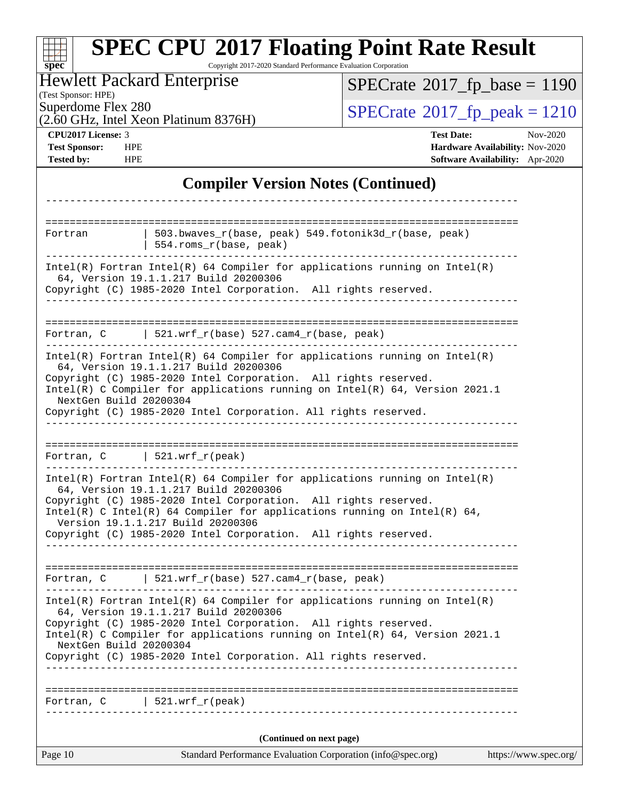| $spec^*$                                                        | <b>SPEC CPU®2017 Floating Point Rate Result</b><br>Copyright 2017-2020 Standard Performance Evaluation Corporation                                                                                                                                                                                                                                                           |                                        |                                                                                       |
|-----------------------------------------------------------------|------------------------------------------------------------------------------------------------------------------------------------------------------------------------------------------------------------------------------------------------------------------------------------------------------------------------------------------------------------------------------|----------------------------------------|---------------------------------------------------------------------------------------|
| (Test Sponsor: HPE)                                             | <b>Hewlett Packard Enterprise</b>                                                                                                                                                                                                                                                                                                                                            | $SPECrate^{\circ}2017$ _fp_base = 1190 |                                                                                       |
| Superdome Flex 280                                              | (2.60 GHz, Intel Xeon Platinum 8376H)                                                                                                                                                                                                                                                                                                                                        | $SPECrate^{\circ}2017_fp\_peak = 1210$ |                                                                                       |
| CPU2017 License: 3<br><b>Test Sponsor:</b><br><b>Tested by:</b> | <b>HPE</b><br><b>HPE</b>                                                                                                                                                                                                                                                                                                                                                     | <b>Test Date:</b>                      | Nov-2020<br>Hardware Availability: Nov-2020<br><b>Software Availability:</b> Apr-2020 |
|                                                                 | <b>Compiler Version Notes (Continued)</b>                                                                                                                                                                                                                                                                                                                                    |                                        |                                                                                       |
|                                                                 |                                                                                                                                                                                                                                                                                                                                                                              |                                        |                                                                                       |
| Fortran                                                         | 503.bwaves_r(base, peak) 549.fotonik3d_r(base, peak)<br>554.roms_r(base, peak)                                                                                                                                                                                                                                                                                               |                                        |                                                                                       |
|                                                                 | $Intel(R)$ Fortran Intel(R) 64 Compiler for applications running on Intel(R)<br>64, Version 19.1.1.217 Build 20200306<br>Copyright (C) 1985-2020 Intel Corporation. All rights reserved.                                                                                                                                                                                     |                                        |                                                                                       |
| Fortran, C                                                      | $\vert$ 521.wrf_r(base) 527.cam4_r(base, peak)                                                                                                                                                                                                                                                                                                                               | -------------------------------        |                                                                                       |
|                                                                 | $Intel(R)$ Fortran Intel(R) 64 Compiler for applications running on Intel(R)<br>64, Version 19.1.1.217 Build 20200306<br>Copyright (C) 1985-2020 Intel Corporation. All rights reserved.<br>Intel(R) C Compiler for applications running on Intel(R) 64, Version 2021.1<br>NextGen Build 20200304<br>Copyright (C) 1985-2020 Intel Corporation. All rights reserved.         |                                        |                                                                                       |
| Fortran, C                                                      | 521.wrf $r(\text{peak})$                                                                                                                                                                                                                                                                                                                                                     |                                        |                                                                                       |
|                                                                 | $Intel(R)$ Fortran Intel(R) 64 Compiler for applications running on Intel(R)<br>64, Version 19.1.1.217 Build 20200306<br>Copyright (C) 1985-2020 Intel Corporation. All rights reserved.<br>Intel(R) C Intel(R) 64 Compiler for applications running on Intel(R) 64,<br>Version 19.1.1.217 Build 20200306<br>Copyright (C) 1985-2020 Intel Corporation. All rights reserved. |                                        |                                                                                       |
|                                                                 | Fortran, C $521.wrf_r(base) 527.cam4_r(base, peak)$                                                                                                                                                                                                                                                                                                                          |                                        |                                                                                       |
|                                                                 | $Intel(R)$ Fortran Intel(R) 64 Compiler for applications running on Intel(R)<br>64, Version 19.1.1.217 Build 20200306<br>Copyright (C) 1985-2020 Intel Corporation. All rights reserved.<br>Intel(R) C Compiler for applications running on $Intel(R) 64$ , Version 2021.1<br>NextGen Build 20200304<br>Copyright (C) 1985-2020 Intel Corporation. All rights reserved.      |                                        |                                                                                       |
|                                                                 | Fortran, $C$   521.wrf_r(peak)                                                                                                                                                                                                                                                                                                                                               |                                        |                                                                                       |
|                                                                 | (Continued on next page)                                                                                                                                                                                                                                                                                                                                                     |                                        |                                                                                       |
| Page 10                                                         | Standard Performance Evaluation Corporation (info@spec.org)                                                                                                                                                                                                                                                                                                                  |                                        | https://www.spec.org/                                                                 |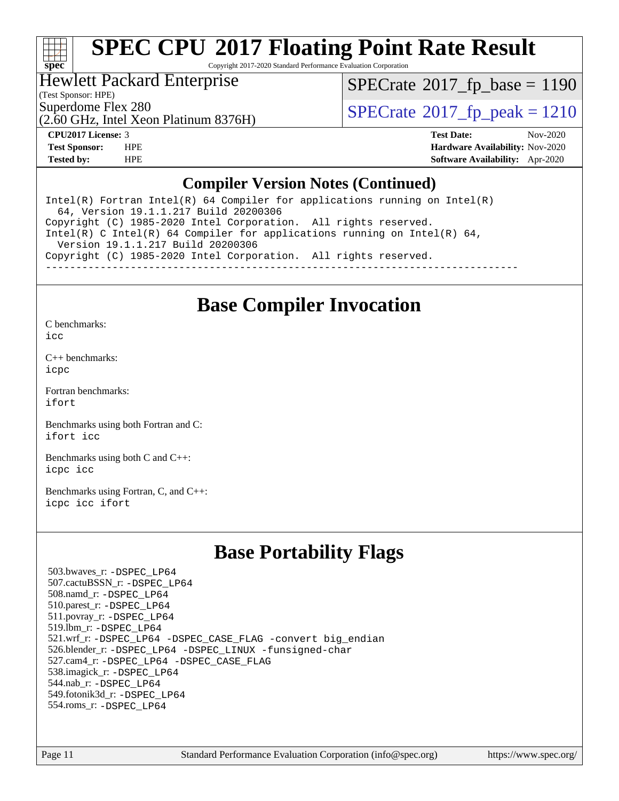

Copyright 2017-2020 Standard Performance Evaluation Corporation

## Hewlett Packard Enterprise

(Test Sponsor: HPE)

 $SPECTate@2017_fp\_base = 1190$ 

Superdome Flex 280<br>  $SPECTA = 1210$ <br>  $SPECTA = 2017$  fp\_peak = 1210

## (2.60 GHz, Intel Xeon Platinum 8376H)

**[CPU2017 License:](http://www.spec.org/auto/cpu2017/Docs/result-fields.html#CPU2017License)** 3 **[Test Date:](http://www.spec.org/auto/cpu2017/Docs/result-fields.html#TestDate)** Nov-2020 **[Test Sponsor:](http://www.spec.org/auto/cpu2017/Docs/result-fields.html#TestSponsor)** HPE **[Hardware Availability:](http://www.spec.org/auto/cpu2017/Docs/result-fields.html#HardwareAvailability)** Nov-2020 **[Tested by:](http://www.spec.org/auto/cpu2017/Docs/result-fields.html#Testedby)** HPE **[Software Availability:](http://www.spec.org/auto/cpu2017/Docs/result-fields.html#SoftwareAvailability)** Apr-2020

### **[Compiler Version Notes \(Continued\)](http://www.spec.org/auto/cpu2017/Docs/result-fields.html#CompilerVersionNotes)**

Intel(R) Fortran Intel(R)  $64$  Compiler for applications running on Intel(R) 64, Version 19.1.1.217 Build 20200306 Copyright (C) 1985-2020 Intel Corporation. All rights reserved. Intel(R) C Intel(R) 64 Compiler for applications running on Intel(R) 64, Version 19.1.1.217 Build 20200306 Copyright (C) 1985-2020 Intel Corporation. All rights reserved. ------------------------------------------------------------------------------

## **[Base Compiler Invocation](http://www.spec.org/auto/cpu2017/Docs/result-fields.html#BaseCompilerInvocation)**

[C benchmarks](http://www.spec.org/auto/cpu2017/Docs/result-fields.html#Cbenchmarks):

[icc](http://www.spec.org/cpu2017/results/res2020q4/cpu2017-20201123-24431.flags.html#user_CCbase_intel_icc_66fc1ee009f7361af1fbd72ca7dcefbb700085f36577c54f309893dd4ec40d12360134090235512931783d35fd58c0460139e722d5067c5574d8eaf2b3e37e92)

[C++ benchmarks:](http://www.spec.org/auto/cpu2017/Docs/result-fields.html#CXXbenchmarks) [icpc](http://www.spec.org/cpu2017/results/res2020q4/cpu2017-20201123-24431.flags.html#user_CXXbase_intel_icpc_c510b6838c7f56d33e37e94d029a35b4a7bccf4766a728ee175e80a419847e808290a9b78be685c44ab727ea267ec2f070ec5dc83b407c0218cded6866a35d07)

[Fortran benchmarks](http://www.spec.org/auto/cpu2017/Docs/result-fields.html#Fortranbenchmarks): [ifort](http://www.spec.org/cpu2017/results/res2020q4/cpu2017-20201123-24431.flags.html#user_FCbase_intel_ifort_8111460550e3ca792625aed983ce982f94888b8b503583aa7ba2b8303487b4d8a21a13e7191a45c5fd58ff318f48f9492884d4413fa793fd88dd292cad7027ca)

[Benchmarks using both Fortran and C](http://www.spec.org/auto/cpu2017/Docs/result-fields.html#BenchmarksusingbothFortranandC): [ifort](http://www.spec.org/cpu2017/results/res2020q4/cpu2017-20201123-24431.flags.html#user_CC_FCbase_intel_ifort_8111460550e3ca792625aed983ce982f94888b8b503583aa7ba2b8303487b4d8a21a13e7191a45c5fd58ff318f48f9492884d4413fa793fd88dd292cad7027ca) [icc](http://www.spec.org/cpu2017/results/res2020q4/cpu2017-20201123-24431.flags.html#user_CC_FCbase_intel_icc_66fc1ee009f7361af1fbd72ca7dcefbb700085f36577c54f309893dd4ec40d12360134090235512931783d35fd58c0460139e722d5067c5574d8eaf2b3e37e92)

[Benchmarks using both C and C++](http://www.spec.org/auto/cpu2017/Docs/result-fields.html#BenchmarksusingbothCandCXX): [icpc](http://www.spec.org/cpu2017/results/res2020q4/cpu2017-20201123-24431.flags.html#user_CC_CXXbase_intel_icpc_c510b6838c7f56d33e37e94d029a35b4a7bccf4766a728ee175e80a419847e808290a9b78be685c44ab727ea267ec2f070ec5dc83b407c0218cded6866a35d07) [icc](http://www.spec.org/cpu2017/results/res2020q4/cpu2017-20201123-24431.flags.html#user_CC_CXXbase_intel_icc_66fc1ee009f7361af1fbd72ca7dcefbb700085f36577c54f309893dd4ec40d12360134090235512931783d35fd58c0460139e722d5067c5574d8eaf2b3e37e92)

[Benchmarks using Fortran, C, and C++:](http://www.spec.org/auto/cpu2017/Docs/result-fields.html#BenchmarksusingFortranCandCXX) [icpc](http://www.spec.org/cpu2017/results/res2020q4/cpu2017-20201123-24431.flags.html#user_CC_CXX_FCbase_intel_icpc_c510b6838c7f56d33e37e94d029a35b4a7bccf4766a728ee175e80a419847e808290a9b78be685c44ab727ea267ec2f070ec5dc83b407c0218cded6866a35d07) [icc](http://www.spec.org/cpu2017/results/res2020q4/cpu2017-20201123-24431.flags.html#user_CC_CXX_FCbase_intel_icc_66fc1ee009f7361af1fbd72ca7dcefbb700085f36577c54f309893dd4ec40d12360134090235512931783d35fd58c0460139e722d5067c5574d8eaf2b3e37e92) [ifort](http://www.spec.org/cpu2017/results/res2020q4/cpu2017-20201123-24431.flags.html#user_CC_CXX_FCbase_intel_ifort_8111460550e3ca792625aed983ce982f94888b8b503583aa7ba2b8303487b4d8a21a13e7191a45c5fd58ff318f48f9492884d4413fa793fd88dd292cad7027ca)

## **[Base Portability Flags](http://www.spec.org/auto/cpu2017/Docs/result-fields.html#BasePortabilityFlags)**

 503.bwaves\_r: [-DSPEC\\_LP64](http://www.spec.org/cpu2017/results/res2020q4/cpu2017-20201123-24431.flags.html#suite_basePORTABILITY503_bwaves_r_DSPEC_LP64) 507.cactuBSSN\_r: [-DSPEC\\_LP64](http://www.spec.org/cpu2017/results/res2020q4/cpu2017-20201123-24431.flags.html#suite_basePORTABILITY507_cactuBSSN_r_DSPEC_LP64) 508.namd\_r: [-DSPEC\\_LP64](http://www.spec.org/cpu2017/results/res2020q4/cpu2017-20201123-24431.flags.html#suite_basePORTABILITY508_namd_r_DSPEC_LP64) 510.parest\_r: [-DSPEC\\_LP64](http://www.spec.org/cpu2017/results/res2020q4/cpu2017-20201123-24431.flags.html#suite_basePORTABILITY510_parest_r_DSPEC_LP64) 511.povray\_r: [-DSPEC\\_LP64](http://www.spec.org/cpu2017/results/res2020q4/cpu2017-20201123-24431.flags.html#suite_basePORTABILITY511_povray_r_DSPEC_LP64) 519.lbm\_r: [-DSPEC\\_LP64](http://www.spec.org/cpu2017/results/res2020q4/cpu2017-20201123-24431.flags.html#suite_basePORTABILITY519_lbm_r_DSPEC_LP64) 521.wrf\_r: [-DSPEC\\_LP64](http://www.spec.org/cpu2017/results/res2020q4/cpu2017-20201123-24431.flags.html#suite_basePORTABILITY521_wrf_r_DSPEC_LP64) [-DSPEC\\_CASE\\_FLAG](http://www.spec.org/cpu2017/results/res2020q4/cpu2017-20201123-24431.flags.html#b521.wrf_r_baseCPORTABILITY_DSPEC_CASE_FLAG) [-convert big\\_endian](http://www.spec.org/cpu2017/results/res2020q4/cpu2017-20201123-24431.flags.html#user_baseFPORTABILITY521_wrf_r_convert_big_endian_c3194028bc08c63ac5d04de18c48ce6d347e4e562e8892b8bdbdc0214820426deb8554edfa529a3fb25a586e65a3d812c835984020483e7e73212c4d31a38223) 526.blender\_r: [-DSPEC\\_LP64](http://www.spec.org/cpu2017/results/res2020q4/cpu2017-20201123-24431.flags.html#suite_basePORTABILITY526_blender_r_DSPEC_LP64) [-DSPEC\\_LINUX](http://www.spec.org/cpu2017/results/res2020q4/cpu2017-20201123-24431.flags.html#b526.blender_r_baseCPORTABILITY_DSPEC_LINUX) [-funsigned-char](http://www.spec.org/cpu2017/results/res2020q4/cpu2017-20201123-24431.flags.html#user_baseCPORTABILITY526_blender_r_force_uchar_40c60f00ab013830e2dd6774aeded3ff59883ba5a1fc5fc14077f794d777847726e2a5858cbc7672e36e1b067e7e5c1d9a74f7176df07886a243d7cc18edfe67) 527.cam4\_r: [-DSPEC\\_LP64](http://www.spec.org/cpu2017/results/res2020q4/cpu2017-20201123-24431.flags.html#suite_basePORTABILITY527_cam4_r_DSPEC_LP64) [-DSPEC\\_CASE\\_FLAG](http://www.spec.org/cpu2017/results/res2020q4/cpu2017-20201123-24431.flags.html#b527.cam4_r_baseCPORTABILITY_DSPEC_CASE_FLAG) 538.imagick\_r: [-DSPEC\\_LP64](http://www.spec.org/cpu2017/results/res2020q4/cpu2017-20201123-24431.flags.html#suite_basePORTABILITY538_imagick_r_DSPEC_LP64) 544.nab\_r: [-DSPEC\\_LP64](http://www.spec.org/cpu2017/results/res2020q4/cpu2017-20201123-24431.flags.html#suite_basePORTABILITY544_nab_r_DSPEC_LP64) 549.fotonik3d\_r: [-DSPEC\\_LP64](http://www.spec.org/cpu2017/results/res2020q4/cpu2017-20201123-24431.flags.html#suite_basePORTABILITY549_fotonik3d_r_DSPEC_LP64) 554.roms\_r: [-DSPEC\\_LP64](http://www.spec.org/cpu2017/results/res2020q4/cpu2017-20201123-24431.flags.html#suite_basePORTABILITY554_roms_r_DSPEC_LP64)

Page 11 Standard Performance Evaluation Corporation [\(info@spec.org\)](mailto:info@spec.org) <https://www.spec.org/>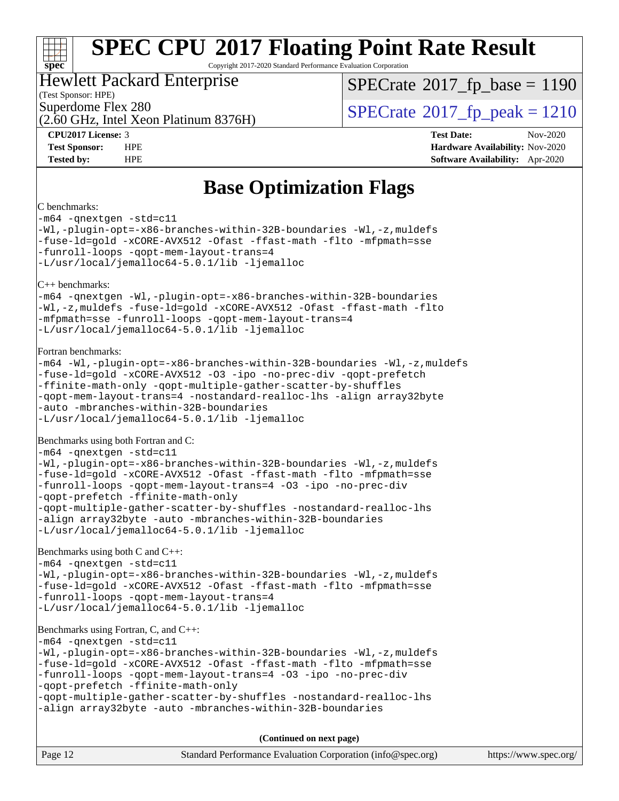# **[spec](http://www.spec.org/)**

## **[SPEC CPU](http://www.spec.org/auto/cpu2017/Docs/result-fields.html#SPECCPU2017FloatingPointRateResult)[2017 Floating Point Rate Result](http://www.spec.org/auto/cpu2017/Docs/result-fields.html#SPECCPU2017FloatingPointRateResult)**

Copyright 2017-2020 Standard Performance Evaluation Corporation

### Hewlett Packard Enterprise

(Test Sponsor: HPE)

[SPECrate](http://www.spec.org/auto/cpu2017/Docs/result-fields.html#SPECrate2017fpbase)<sup>®</sup>2017 fp base = 1190

(2.60 GHz, Intel Xeon Platinum 8376H)

Superdome Flex 280<br>  $SPECTA = 1210$ <br>  $SPECTA = 2017$  fp\_peak = 1210

**[CPU2017 License:](http://www.spec.org/auto/cpu2017/Docs/result-fields.html#CPU2017License)** 3 **[Test Date:](http://www.spec.org/auto/cpu2017/Docs/result-fields.html#TestDate)** Nov-2020 **[Test Sponsor:](http://www.spec.org/auto/cpu2017/Docs/result-fields.html#TestSponsor)** HPE **[Hardware Availability:](http://www.spec.org/auto/cpu2017/Docs/result-fields.html#HardwareAvailability)** Nov-2020 **[Tested by:](http://www.spec.org/auto/cpu2017/Docs/result-fields.html#Testedby)** HPE **[Software Availability:](http://www.spec.org/auto/cpu2017/Docs/result-fields.html#SoftwareAvailability)** Apr-2020

## **[Base Optimization Flags](http://www.spec.org/auto/cpu2017/Docs/result-fields.html#BaseOptimizationFlags)**

#### [C benchmarks:](http://www.spec.org/auto/cpu2017/Docs/result-fields.html#Cbenchmarks)

[-m64](http://www.spec.org/cpu2017/results/res2020q4/cpu2017-20201123-24431.flags.html#user_CCbase_m64-icc) [-qnextgen](http://www.spec.org/cpu2017/results/res2020q4/cpu2017-20201123-24431.flags.html#user_CCbase_f-qnextgen) [-std=c11](http://www.spec.org/cpu2017/results/res2020q4/cpu2017-20201123-24431.flags.html#user_CCbase_std-icc-std_0e1c27790398a4642dfca32ffe6c27b5796f9c2d2676156f2e42c9c44eaad0c049b1cdb667a270c34d979996257aeb8fc440bfb01818dbc9357bd9d174cb8524) [-Wl,-plugin-opt=-x86-branches-within-32B-boundaries](http://www.spec.org/cpu2017/results/res2020q4/cpu2017-20201123-24431.flags.html#user_CCbase_f-x86-branches-within-32B-boundaries_0098b4e4317ae60947b7b728078a624952a08ac37a3c797dfb4ffeb399e0c61a9dd0f2f44ce917e9361fb9076ccb15e7824594512dd315205382d84209e912f3) [-Wl,-z,muldefs](http://www.spec.org/cpu2017/results/res2020q4/cpu2017-20201123-24431.flags.html#user_CCbase_link_force_multiple1_b4cbdb97b34bdee9ceefcfe54f4c8ea74255f0b02a4b23e853cdb0e18eb4525ac79b5a88067c842dd0ee6996c24547a27a4b99331201badda8798ef8a743f577) [-fuse-ld=gold](http://www.spec.org/cpu2017/results/res2020q4/cpu2017-20201123-24431.flags.html#user_CCbase_f-fuse-ld_920b3586e2b8c6e0748b9c84fa9b744736ba725a32cab14ad8f3d4ad28eecb2f59d1144823d2e17006539a88734fe1fc08fc3035f7676166309105a78aaabc32) [-xCORE-AVX512](http://www.spec.org/cpu2017/results/res2020q4/cpu2017-20201123-24431.flags.html#user_CCbase_f-xCORE-AVX512) [-Ofast](http://www.spec.org/cpu2017/results/res2020q4/cpu2017-20201123-24431.flags.html#user_CCbase_f-Ofast) [-ffast-math](http://www.spec.org/cpu2017/results/res2020q4/cpu2017-20201123-24431.flags.html#user_CCbase_f-ffast-math) [-flto](http://www.spec.org/cpu2017/results/res2020q4/cpu2017-20201123-24431.flags.html#user_CCbase_f-flto) [-mfpmath=sse](http://www.spec.org/cpu2017/results/res2020q4/cpu2017-20201123-24431.flags.html#user_CCbase_f-mfpmath_70eb8fac26bde974f8ab713bc9086c5621c0b8d2f6c86f38af0bd7062540daf19db5f3a066d8c6684be05d84c9b6322eb3b5be6619d967835195b93d6c02afa1) [-funroll-loops](http://www.spec.org/cpu2017/results/res2020q4/cpu2017-20201123-24431.flags.html#user_CCbase_f-funroll-loops) [-qopt-mem-layout-trans=4](http://www.spec.org/cpu2017/results/res2020q4/cpu2017-20201123-24431.flags.html#user_CCbase_f-qopt-mem-layout-trans_fa39e755916c150a61361b7846f310bcdf6f04e385ef281cadf3647acec3f0ae266d1a1d22d972a7087a248fd4e6ca390a3634700869573d231a252c784941a8) [-L/usr/local/jemalloc64-5.0.1/lib](http://www.spec.org/cpu2017/results/res2020q4/cpu2017-20201123-24431.flags.html#user_CCbase_jemalloc_link_path64_1_cc289568b1a6c0fd3b62c91b824c27fcb5af5e8098e6ad028160d21144ef1b8aef3170d2acf0bee98a8da324cfe4f67d0a3d0c4cc4673d993d694dc2a0df248b) [-ljemalloc](http://www.spec.org/cpu2017/results/res2020q4/cpu2017-20201123-24431.flags.html#user_CCbase_jemalloc_link_lib_d1249b907c500fa1c0672f44f562e3d0f79738ae9e3c4a9c376d49f265a04b9c99b167ecedbf6711b3085be911c67ff61f150a17b3472be731631ba4d0471706) [C++ benchmarks:](http://www.spec.org/auto/cpu2017/Docs/result-fields.html#CXXbenchmarks) [-m64](http://www.spec.org/cpu2017/results/res2020q4/cpu2017-20201123-24431.flags.html#user_CXXbase_m64-icc) [-qnextgen](http://www.spec.org/cpu2017/results/res2020q4/cpu2017-20201123-24431.flags.html#user_CXXbase_f-qnextgen) [-Wl,-plugin-opt=-x86-branches-within-32B-boundaries](http://www.spec.org/cpu2017/results/res2020q4/cpu2017-20201123-24431.flags.html#user_CXXbase_f-x86-branches-within-32B-boundaries_0098b4e4317ae60947b7b728078a624952a08ac37a3c797dfb4ffeb399e0c61a9dd0f2f44ce917e9361fb9076ccb15e7824594512dd315205382d84209e912f3) [-Wl,-z,muldefs](http://www.spec.org/cpu2017/results/res2020q4/cpu2017-20201123-24431.flags.html#user_CXXbase_link_force_multiple1_b4cbdb97b34bdee9ceefcfe54f4c8ea74255f0b02a4b23e853cdb0e18eb4525ac79b5a88067c842dd0ee6996c24547a27a4b99331201badda8798ef8a743f577) [-fuse-ld=gold](http://www.spec.org/cpu2017/results/res2020q4/cpu2017-20201123-24431.flags.html#user_CXXbase_f-fuse-ld_920b3586e2b8c6e0748b9c84fa9b744736ba725a32cab14ad8f3d4ad28eecb2f59d1144823d2e17006539a88734fe1fc08fc3035f7676166309105a78aaabc32) [-xCORE-AVX512](http://www.spec.org/cpu2017/results/res2020q4/cpu2017-20201123-24431.flags.html#user_CXXbase_f-xCORE-AVX512) [-Ofast](http://www.spec.org/cpu2017/results/res2020q4/cpu2017-20201123-24431.flags.html#user_CXXbase_f-Ofast) [-ffast-math](http://www.spec.org/cpu2017/results/res2020q4/cpu2017-20201123-24431.flags.html#user_CXXbase_f-ffast-math) [-flto](http://www.spec.org/cpu2017/results/res2020q4/cpu2017-20201123-24431.flags.html#user_CXXbase_f-flto) [-mfpmath=sse](http://www.spec.org/cpu2017/results/res2020q4/cpu2017-20201123-24431.flags.html#user_CXXbase_f-mfpmath_70eb8fac26bde974f8ab713bc9086c5621c0b8d2f6c86f38af0bd7062540daf19db5f3a066d8c6684be05d84c9b6322eb3b5be6619d967835195b93d6c02afa1) [-funroll-loops](http://www.spec.org/cpu2017/results/res2020q4/cpu2017-20201123-24431.flags.html#user_CXXbase_f-funroll-loops) [-qopt-mem-layout-trans=4](http://www.spec.org/cpu2017/results/res2020q4/cpu2017-20201123-24431.flags.html#user_CXXbase_f-qopt-mem-layout-trans_fa39e755916c150a61361b7846f310bcdf6f04e385ef281cadf3647acec3f0ae266d1a1d22d972a7087a248fd4e6ca390a3634700869573d231a252c784941a8) [-L/usr/local/jemalloc64-5.0.1/lib](http://www.spec.org/cpu2017/results/res2020q4/cpu2017-20201123-24431.flags.html#user_CXXbase_jemalloc_link_path64_1_cc289568b1a6c0fd3b62c91b824c27fcb5af5e8098e6ad028160d21144ef1b8aef3170d2acf0bee98a8da324cfe4f67d0a3d0c4cc4673d993d694dc2a0df248b) [-ljemalloc](http://www.spec.org/cpu2017/results/res2020q4/cpu2017-20201123-24431.flags.html#user_CXXbase_jemalloc_link_lib_d1249b907c500fa1c0672f44f562e3d0f79738ae9e3c4a9c376d49f265a04b9c99b167ecedbf6711b3085be911c67ff61f150a17b3472be731631ba4d0471706) [Fortran benchmarks](http://www.spec.org/auto/cpu2017/Docs/result-fields.html#Fortranbenchmarks): [-m64](http://www.spec.org/cpu2017/results/res2020q4/cpu2017-20201123-24431.flags.html#user_FCbase_m64-icc) [-Wl,-plugin-opt=-x86-branches-within-32B-boundaries](http://www.spec.org/cpu2017/results/res2020q4/cpu2017-20201123-24431.flags.html#user_FCbase_f-x86-branches-within-32B-boundaries_0098b4e4317ae60947b7b728078a624952a08ac37a3c797dfb4ffeb399e0c61a9dd0f2f44ce917e9361fb9076ccb15e7824594512dd315205382d84209e912f3) [-Wl,-z,muldefs](http://www.spec.org/cpu2017/results/res2020q4/cpu2017-20201123-24431.flags.html#user_FCbase_link_force_multiple1_b4cbdb97b34bdee9ceefcfe54f4c8ea74255f0b02a4b23e853cdb0e18eb4525ac79b5a88067c842dd0ee6996c24547a27a4b99331201badda8798ef8a743f577) [-fuse-ld=gold](http://www.spec.org/cpu2017/results/res2020q4/cpu2017-20201123-24431.flags.html#user_FCbase_f-fuse-ld_920b3586e2b8c6e0748b9c84fa9b744736ba725a32cab14ad8f3d4ad28eecb2f59d1144823d2e17006539a88734fe1fc08fc3035f7676166309105a78aaabc32) [-xCORE-AVX512](http://www.spec.org/cpu2017/results/res2020q4/cpu2017-20201123-24431.flags.html#user_FCbase_f-xCORE-AVX512) [-O3](http://www.spec.org/cpu2017/results/res2020q4/cpu2017-20201123-24431.flags.html#user_FCbase_f-O3) [-ipo](http://www.spec.org/cpu2017/results/res2020q4/cpu2017-20201123-24431.flags.html#user_FCbase_f-ipo) [-no-prec-div](http://www.spec.org/cpu2017/results/res2020q4/cpu2017-20201123-24431.flags.html#user_FCbase_f-no-prec-div) [-qopt-prefetch](http://www.spec.org/cpu2017/results/res2020q4/cpu2017-20201123-24431.flags.html#user_FCbase_f-qopt-prefetch) [-ffinite-math-only](http://www.spec.org/cpu2017/results/res2020q4/cpu2017-20201123-24431.flags.html#user_FCbase_f_finite_math_only_cb91587bd2077682c4b38af759c288ed7c732db004271a9512da14a4f8007909a5f1427ecbf1a0fb78ff2a814402c6114ac565ca162485bbcae155b5e4258871) [-qopt-multiple-gather-scatter-by-shuffles](http://www.spec.org/cpu2017/results/res2020q4/cpu2017-20201123-24431.flags.html#user_FCbase_f-qopt-multiple-gather-scatter-by-shuffles) [-qopt-mem-layout-trans=4](http://www.spec.org/cpu2017/results/res2020q4/cpu2017-20201123-24431.flags.html#user_FCbase_f-qopt-mem-layout-trans_fa39e755916c150a61361b7846f310bcdf6f04e385ef281cadf3647acec3f0ae266d1a1d22d972a7087a248fd4e6ca390a3634700869573d231a252c784941a8) [-nostandard-realloc-lhs](http://www.spec.org/cpu2017/results/res2020q4/cpu2017-20201123-24431.flags.html#user_FCbase_f_2003_std_realloc_82b4557e90729c0f113870c07e44d33d6f5a304b4f63d4c15d2d0f1fab99f5daaed73bdb9275d9ae411527f28b936061aa8b9c8f2d63842963b95c9dd6426b8a) [-align array32byte](http://www.spec.org/cpu2017/results/res2020q4/cpu2017-20201123-24431.flags.html#user_FCbase_align_array32byte_b982fe038af199962ba9a80c053b8342c548c85b40b8e86eb3cc33dee0d7986a4af373ac2d51c3f7cf710a18d62fdce2948f201cd044323541f22fc0fffc51b6) [-auto](http://www.spec.org/cpu2017/results/res2020q4/cpu2017-20201123-24431.flags.html#user_FCbase_f-auto) [-mbranches-within-32B-boundaries](http://www.spec.org/cpu2017/results/res2020q4/cpu2017-20201123-24431.flags.html#user_FCbase_f-mbranches-within-32B-boundaries) [-L/usr/local/jemalloc64-5.0.1/lib](http://www.spec.org/cpu2017/results/res2020q4/cpu2017-20201123-24431.flags.html#user_FCbase_jemalloc_link_path64_1_cc289568b1a6c0fd3b62c91b824c27fcb5af5e8098e6ad028160d21144ef1b8aef3170d2acf0bee98a8da324cfe4f67d0a3d0c4cc4673d993d694dc2a0df248b) [-ljemalloc](http://www.spec.org/cpu2017/results/res2020q4/cpu2017-20201123-24431.flags.html#user_FCbase_jemalloc_link_lib_d1249b907c500fa1c0672f44f562e3d0f79738ae9e3c4a9c376d49f265a04b9c99b167ecedbf6711b3085be911c67ff61f150a17b3472be731631ba4d0471706) [Benchmarks using both Fortran and C:](http://www.spec.org/auto/cpu2017/Docs/result-fields.html#BenchmarksusingbothFortranandC) [-m64](http://www.spec.org/cpu2017/results/res2020q4/cpu2017-20201123-24431.flags.html#user_CC_FCbase_m64-icc) [-qnextgen](http://www.spec.org/cpu2017/results/res2020q4/cpu2017-20201123-24431.flags.html#user_CC_FCbase_f-qnextgen) [-std=c11](http://www.spec.org/cpu2017/results/res2020q4/cpu2017-20201123-24431.flags.html#user_CC_FCbase_std-icc-std_0e1c27790398a4642dfca32ffe6c27b5796f9c2d2676156f2e42c9c44eaad0c049b1cdb667a270c34d979996257aeb8fc440bfb01818dbc9357bd9d174cb8524) [-Wl,-plugin-opt=-x86-branches-within-32B-boundaries](http://www.spec.org/cpu2017/results/res2020q4/cpu2017-20201123-24431.flags.html#user_CC_FCbase_f-x86-branches-within-32B-boundaries_0098b4e4317ae60947b7b728078a624952a08ac37a3c797dfb4ffeb399e0c61a9dd0f2f44ce917e9361fb9076ccb15e7824594512dd315205382d84209e912f3) [-Wl,-z,muldefs](http://www.spec.org/cpu2017/results/res2020q4/cpu2017-20201123-24431.flags.html#user_CC_FCbase_link_force_multiple1_b4cbdb97b34bdee9ceefcfe54f4c8ea74255f0b02a4b23e853cdb0e18eb4525ac79b5a88067c842dd0ee6996c24547a27a4b99331201badda8798ef8a743f577) [-fuse-ld=gold](http://www.spec.org/cpu2017/results/res2020q4/cpu2017-20201123-24431.flags.html#user_CC_FCbase_f-fuse-ld_920b3586e2b8c6e0748b9c84fa9b744736ba725a32cab14ad8f3d4ad28eecb2f59d1144823d2e17006539a88734fe1fc08fc3035f7676166309105a78aaabc32) [-xCORE-AVX512](http://www.spec.org/cpu2017/results/res2020q4/cpu2017-20201123-24431.flags.html#user_CC_FCbase_f-xCORE-AVX512) [-Ofast](http://www.spec.org/cpu2017/results/res2020q4/cpu2017-20201123-24431.flags.html#user_CC_FCbase_f-Ofast) [-ffast-math](http://www.spec.org/cpu2017/results/res2020q4/cpu2017-20201123-24431.flags.html#user_CC_FCbase_f-ffast-math) [-flto](http://www.spec.org/cpu2017/results/res2020q4/cpu2017-20201123-24431.flags.html#user_CC_FCbase_f-flto) [-mfpmath=sse](http://www.spec.org/cpu2017/results/res2020q4/cpu2017-20201123-24431.flags.html#user_CC_FCbase_f-mfpmath_70eb8fac26bde974f8ab713bc9086c5621c0b8d2f6c86f38af0bd7062540daf19db5f3a066d8c6684be05d84c9b6322eb3b5be6619d967835195b93d6c02afa1) [-funroll-loops](http://www.spec.org/cpu2017/results/res2020q4/cpu2017-20201123-24431.flags.html#user_CC_FCbase_f-funroll-loops) [-qopt-mem-layout-trans=4](http://www.spec.org/cpu2017/results/res2020q4/cpu2017-20201123-24431.flags.html#user_CC_FCbase_f-qopt-mem-layout-trans_fa39e755916c150a61361b7846f310bcdf6f04e385ef281cadf3647acec3f0ae266d1a1d22d972a7087a248fd4e6ca390a3634700869573d231a252c784941a8) [-O3](http://www.spec.org/cpu2017/results/res2020q4/cpu2017-20201123-24431.flags.html#user_CC_FCbase_f-O3) [-ipo](http://www.spec.org/cpu2017/results/res2020q4/cpu2017-20201123-24431.flags.html#user_CC_FCbase_f-ipo) [-no-prec-div](http://www.spec.org/cpu2017/results/res2020q4/cpu2017-20201123-24431.flags.html#user_CC_FCbase_f-no-prec-div) [-qopt-prefetch](http://www.spec.org/cpu2017/results/res2020q4/cpu2017-20201123-24431.flags.html#user_CC_FCbase_f-qopt-prefetch) [-ffinite-math-only](http://www.spec.org/cpu2017/results/res2020q4/cpu2017-20201123-24431.flags.html#user_CC_FCbase_f_finite_math_only_cb91587bd2077682c4b38af759c288ed7c732db004271a9512da14a4f8007909a5f1427ecbf1a0fb78ff2a814402c6114ac565ca162485bbcae155b5e4258871) [-qopt-multiple-gather-scatter-by-shuffles](http://www.spec.org/cpu2017/results/res2020q4/cpu2017-20201123-24431.flags.html#user_CC_FCbase_f-qopt-multiple-gather-scatter-by-shuffles) [-nostandard-realloc-lhs](http://www.spec.org/cpu2017/results/res2020q4/cpu2017-20201123-24431.flags.html#user_CC_FCbase_f_2003_std_realloc_82b4557e90729c0f113870c07e44d33d6f5a304b4f63d4c15d2d0f1fab99f5daaed73bdb9275d9ae411527f28b936061aa8b9c8f2d63842963b95c9dd6426b8a) [-align array32byte](http://www.spec.org/cpu2017/results/res2020q4/cpu2017-20201123-24431.flags.html#user_CC_FCbase_align_array32byte_b982fe038af199962ba9a80c053b8342c548c85b40b8e86eb3cc33dee0d7986a4af373ac2d51c3f7cf710a18d62fdce2948f201cd044323541f22fc0fffc51b6) [-auto](http://www.spec.org/cpu2017/results/res2020q4/cpu2017-20201123-24431.flags.html#user_CC_FCbase_f-auto) [-mbranches-within-32B-boundaries](http://www.spec.org/cpu2017/results/res2020q4/cpu2017-20201123-24431.flags.html#user_CC_FCbase_f-mbranches-within-32B-boundaries) [-L/usr/local/jemalloc64-5.0.1/lib](http://www.spec.org/cpu2017/results/res2020q4/cpu2017-20201123-24431.flags.html#user_CC_FCbase_jemalloc_link_path64_1_cc289568b1a6c0fd3b62c91b824c27fcb5af5e8098e6ad028160d21144ef1b8aef3170d2acf0bee98a8da324cfe4f67d0a3d0c4cc4673d993d694dc2a0df248b) [-ljemalloc](http://www.spec.org/cpu2017/results/res2020q4/cpu2017-20201123-24431.flags.html#user_CC_FCbase_jemalloc_link_lib_d1249b907c500fa1c0672f44f562e3d0f79738ae9e3c4a9c376d49f265a04b9c99b167ecedbf6711b3085be911c67ff61f150a17b3472be731631ba4d0471706) [Benchmarks using both C and C++](http://www.spec.org/auto/cpu2017/Docs/result-fields.html#BenchmarksusingbothCandCXX): [-m64](http://www.spec.org/cpu2017/results/res2020q4/cpu2017-20201123-24431.flags.html#user_CC_CXXbase_m64-icc) [-qnextgen](http://www.spec.org/cpu2017/results/res2020q4/cpu2017-20201123-24431.flags.html#user_CC_CXXbase_f-qnextgen) [-std=c11](http://www.spec.org/cpu2017/results/res2020q4/cpu2017-20201123-24431.flags.html#user_CC_CXXbase_std-icc-std_0e1c27790398a4642dfca32ffe6c27b5796f9c2d2676156f2e42c9c44eaad0c049b1cdb667a270c34d979996257aeb8fc440bfb01818dbc9357bd9d174cb8524) [-Wl,-plugin-opt=-x86-branches-within-32B-boundaries](http://www.spec.org/cpu2017/results/res2020q4/cpu2017-20201123-24431.flags.html#user_CC_CXXbase_f-x86-branches-within-32B-boundaries_0098b4e4317ae60947b7b728078a624952a08ac37a3c797dfb4ffeb399e0c61a9dd0f2f44ce917e9361fb9076ccb15e7824594512dd315205382d84209e912f3) [-Wl,-z,muldefs](http://www.spec.org/cpu2017/results/res2020q4/cpu2017-20201123-24431.flags.html#user_CC_CXXbase_link_force_multiple1_b4cbdb97b34bdee9ceefcfe54f4c8ea74255f0b02a4b23e853cdb0e18eb4525ac79b5a88067c842dd0ee6996c24547a27a4b99331201badda8798ef8a743f577) [-fuse-ld=gold](http://www.spec.org/cpu2017/results/res2020q4/cpu2017-20201123-24431.flags.html#user_CC_CXXbase_f-fuse-ld_920b3586e2b8c6e0748b9c84fa9b744736ba725a32cab14ad8f3d4ad28eecb2f59d1144823d2e17006539a88734fe1fc08fc3035f7676166309105a78aaabc32) [-xCORE-AVX512](http://www.spec.org/cpu2017/results/res2020q4/cpu2017-20201123-24431.flags.html#user_CC_CXXbase_f-xCORE-AVX512) [-Ofast](http://www.spec.org/cpu2017/results/res2020q4/cpu2017-20201123-24431.flags.html#user_CC_CXXbase_f-Ofast) [-ffast-math](http://www.spec.org/cpu2017/results/res2020q4/cpu2017-20201123-24431.flags.html#user_CC_CXXbase_f-ffast-math) [-flto](http://www.spec.org/cpu2017/results/res2020q4/cpu2017-20201123-24431.flags.html#user_CC_CXXbase_f-flto) [-mfpmath=sse](http://www.spec.org/cpu2017/results/res2020q4/cpu2017-20201123-24431.flags.html#user_CC_CXXbase_f-mfpmath_70eb8fac26bde974f8ab713bc9086c5621c0b8d2f6c86f38af0bd7062540daf19db5f3a066d8c6684be05d84c9b6322eb3b5be6619d967835195b93d6c02afa1) [-funroll-loops](http://www.spec.org/cpu2017/results/res2020q4/cpu2017-20201123-24431.flags.html#user_CC_CXXbase_f-funroll-loops) [-qopt-mem-layout-trans=4](http://www.spec.org/cpu2017/results/res2020q4/cpu2017-20201123-24431.flags.html#user_CC_CXXbase_f-qopt-mem-layout-trans_fa39e755916c150a61361b7846f310bcdf6f04e385ef281cadf3647acec3f0ae266d1a1d22d972a7087a248fd4e6ca390a3634700869573d231a252c784941a8) [-L/usr/local/jemalloc64-5.0.1/lib](http://www.spec.org/cpu2017/results/res2020q4/cpu2017-20201123-24431.flags.html#user_CC_CXXbase_jemalloc_link_path64_1_cc289568b1a6c0fd3b62c91b824c27fcb5af5e8098e6ad028160d21144ef1b8aef3170d2acf0bee98a8da324cfe4f67d0a3d0c4cc4673d993d694dc2a0df248b) [-ljemalloc](http://www.spec.org/cpu2017/results/res2020q4/cpu2017-20201123-24431.flags.html#user_CC_CXXbase_jemalloc_link_lib_d1249b907c500fa1c0672f44f562e3d0f79738ae9e3c4a9c376d49f265a04b9c99b167ecedbf6711b3085be911c67ff61f150a17b3472be731631ba4d0471706) [Benchmarks using Fortran, C, and C++:](http://www.spec.org/auto/cpu2017/Docs/result-fields.html#BenchmarksusingFortranCandCXX) [-m64](http://www.spec.org/cpu2017/results/res2020q4/cpu2017-20201123-24431.flags.html#user_CC_CXX_FCbase_m64-icc) [-qnextgen](http://www.spec.org/cpu2017/results/res2020q4/cpu2017-20201123-24431.flags.html#user_CC_CXX_FCbase_f-qnextgen) [-std=c11](http://www.spec.org/cpu2017/results/res2020q4/cpu2017-20201123-24431.flags.html#user_CC_CXX_FCbase_std-icc-std_0e1c27790398a4642dfca32ffe6c27b5796f9c2d2676156f2e42c9c44eaad0c049b1cdb667a270c34d979996257aeb8fc440bfb01818dbc9357bd9d174cb8524) [-Wl,-plugin-opt=-x86-branches-within-32B-boundaries](http://www.spec.org/cpu2017/results/res2020q4/cpu2017-20201123-24431.flags.html#user_CC_CXX_FCbase_f-x86-branches-within-32B-boundaries_0098b4e4317ae60947b7b728078a624952a08ac37a3c797dfb4ffeb399e0c61a9dd0f2f44ce917e9361fb9076ccb15e7824594512dd315205382d84209e912f3) [-Wl,-z,muldefs](http://www.spec.org/cpu2017/results/res2020q4/cpu2017-20201123-24431.flags.html#user_CC_CXX_FCbase_link_force_multiple1_b4cbdb97b34bdee9ceefcfe54f4c8ea74255f0b02a4b23e853cdb0e18eb4525ac79b5a88067c842dd0ee6996c24547a27a4b99331201badda8798ef8a743f577) [-fuse-ld=gold](http://www.spec.org/cpu2017/results/res2020q4/cpu2017-20201123-24431.flags.html#user_CC_CXX_FCbase_f-fuse-ld_920b3586e2b8c6e0748b9c84fa9b744736ba725a32cab14ad8f3d4ad28eecb2f59d1144823d2e17006539a88734fe1fc08fc3035f7676166309105a78aaabc32) [-xCORE-AVX512](http://www.spec.org/cpu2017/results/res2020q4/cpu2017-20201123-24431.flags.html#user_CC_CXX_FCbase_f-xCORE-AVX512) [-Ofast](http://www.spec.org/cpu2017/results/res2020q4/cpu2017-20201123-24431.flags.html#user_CC_CXX_FCbase_f-Ofast) [-ffast-math](http://www.spec.org/cpu2017/results/res2020q4/cpu2017-20201123-24431.flags.html#user_CC_CXX_FCbase_f-ffast-math) [-flto](http://www.spec.org/cpu2017/results/res2020q4/cpu2017-20201123-24431.flags.html#user_CC_CXX_FCbase_f-flto) [-mfpmath=sse](http://www.spec.org/cpu2017/results/res2020q4/cpu2017-20201123-24431.flags.html#user_CC_CXX_FCbase_f-mfpmath_70eb8fac26bde974f8ab713bc9086c5621c0b8d2f6c86f38af0bd7062540daf19db5f3a066d8c6684be05d84c9b6322eb3b5be6619d967835195b93d6c02afa1) [-funroll-loops](http://www.spec.org/cpu2017/results/res2020q4/cpu2017-20201123-24431.flags.html#user_CC_CXX_FCbase_f-funroll-loops) [-qopt-mem-layout-trans=4](http://www.spec.org/cpu2017/results/res2020q4/cpu2017-20201123-24431.flags.html#user_CC_CXX_FCbase_f-qopt-mem-layout-trans_fa39e755916c150a61361b7846f310bcdf6f04e385ef281cadf3647acec3f0ae266d1a1d22d972a7087a248fd4e6ca390a3634700869573d231a252c784941a8) [-O3](http://www.spec.org/cpu2017/results/res2020q4/cpu2017-20201123-24431.flags.html#user_CC_CXX_FCbase_f-O3) [-ipo](http://www.spec.org/cpu2017/results/res2020q4/cpu2017-20201123-24431.flags.html#user_CC_CXX_FCbase_f-ipo) [-no-prec-div](http://www.spec.org/cpu2017/results/res2020q4/cpu2017-20201123-24431.flags.html#user_CC_CXX_FCbase_f-no-prec-div) [-qopt-prefetch](http://www.spec.org/cpu2017/results/res2020q4/cpu2017-20201123-24431.flags.html#user_CC_CXX_FCbase_f-qopt-prefetch) [-ffinite-math-only](http://www.spec.org/cpu2017/results/res2020q4/cpu2017-20201123-24431.flags.html#user_CC_CXX_FCbase_f_finite_math_only_cb91587bd2077682c4b38af759c288ed7c732db004271a9512da14a4f8007909a5f1427ecbf1a0fb78ff2a814402c6114ac565ca162485bbcae155b5e4258871) [-qopt-multiple-gather-scatter-by-shuffles](http://www.spec.org/cpu2017/results/res2020q4/cpu2017-20201123-24431.flags.html#user_CC_CXX_FCbase_f-qopt-multiple-gather-scatter-by-shuffles) [-nostandard-realloc-lhs](http://www.spec.org/cpu2017/results/res2020q4/cpu2017-20201123-24431.flags.html#user_CC_CXX_FCbase_f_2003_std_realloc_82b4557e90729c0f113870c07e44d33d6f5a304b4f63d4c15d2d0f1fab99f5daaed73bdb9275d9ae411527f28b936061aa8b9c8f2d63842963b95c9dd6426b8a) [-align array32byte](http://www.spec.org/cpu2017/results/res2020q4/cpu2017-20201123-24431.flags.html#user_CC_CXX_FCbase_align_array32byte_b982fe038af199962ba9a80c053b8342c548c85b40b8e86eb3cc33dee0d7986a4af373ac2d51c3f7cf710a18d62fdce2948f201cd044323541f22fc0fffc51b6) [-auto](http://www.spec.org/cpu2017/results/res2020q4/cpu2017-20201123-24431.flags.html#user_CC_CXX_FCbase_f-auto) [-mbranches-within-32B-boundaries](http://www.spec.org/cpu2017/results/res2020q4/cpu2017-20201123-24431.flags.html#user_CC_CXX_FCbase_f-mbranches-within-32B-boundaries)

| Page 12 | Standard Performance Evaluation Corporation (info@spec.org) | https://www.spec.org/ |
|---------|-------------------------------------------------------------|-----------------------|
|---------|-------------------------------------------------------------|-----------------------|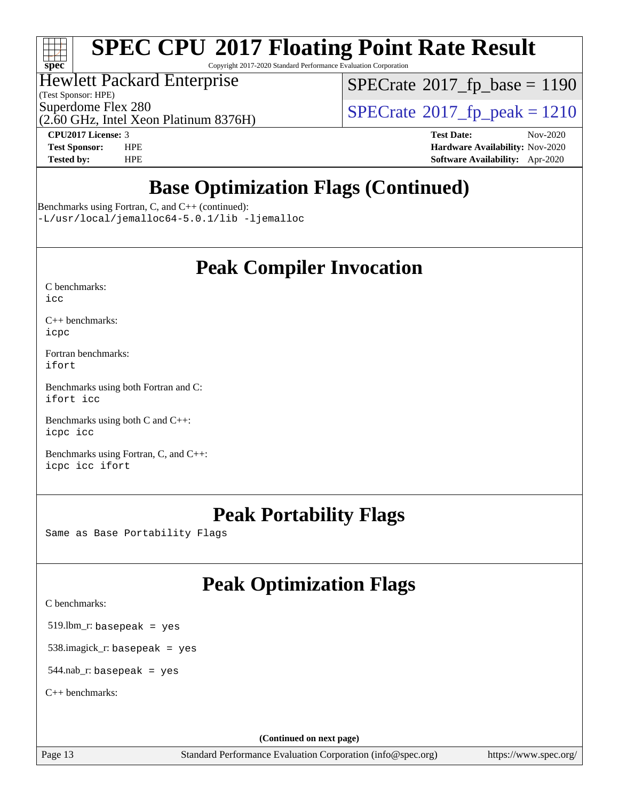

Copyright 2017-2020 Standard Performance Evaluation Corporation

## Hewlett Packard Enterprise

(Test Sponsor: HPE)

 $SPECTate@2017_fp\_base = 1190$ 

(2.60 GHz, Intel Xeon Platinum 8376H)

Superdome Flex 280<br>  $\overline{SPECrate}$  $\overline{SPECrate}$  $\overline{SPECrate}$ <sup>®</sup>[2017\\_fp\\_peak = 1](http://www.spec.org/auto/cpu2017/Docs/result-fields.html#SPECrate2017fppeak)210

**[CPU2017 License:](http://www.spec.org/auto/cpu2017/Docs/result-fields.html#CPU2017License)** 3 **[Test Date:](http://www.spec.org/auto/cpu2017/Docs/result-fields.html#TestDate)** Nov-2020 **[Test Sponsor:](http://www.spec.org/auto/cpu2017/Docs/result-fields.html#TestSponsor)** HPE **[Hardware Availability:](http://www.spec.org/auto/cpu2017/Docs/result-fields.html#HardwareAvailability)** Nov-2020 **[Tested by:](http://www.spec.org/auto/cpu2017/Docs/result-fields.html#Testedby)** HPE **[Software Availability:](http://www.spec.org/auto/cpu2017/Docs/result-fields.html#SoftwareAvailability)** Apr-2020

## **[Base Optimization Flags \(Continued\)](http://www.spec.org/auto/cpu2017/Docs/result-fields.html#BaseOptimizationFlags)**

[Benchmarks using Fortran, C, and C++](http://www.spec.org/auto/cpu2017/Docs/result-fields.html#BenchmarksusingFortranCandCXX) (continued):

[-L/usr/local/jemalloc64-5.0.1/lib](http://www.spec.org/cpu2017/results/res2020q4/cpu2017-20201123-24431.flags.html#user_CC_CXX_FCbase_jemalloc_link_path64_1_cc289568b1a6c0fd3b62c91b824c27fcb5af5e8098e6ad028160d21144ef1b8aef3170d2acf0bee98a8da324cfe4f67d0a3d0c4cc4673d993d694dc2a0df248b) [-ljemalloc](http://www.spec.org/cpu2017/results/res2020q4/cpu2017-20201123-24431.flags.html#user_CC_CXX_FCbase_jemalloc_link_lib_d1249b907c500fa1c0672f44f562e3d0f79738ae9e3c4a9c376d49f265a04b9c99b167ecedbf6711b3085be911c67ff61f150a17b3472be731631ba4d0471706)

## **[Peak Compiler Invocation](http://www.spec.org/auto/cpu2017/Docs/result-fields.html#PeakCompilerInvocation)**

| C benchmarks: |  |
|---------------|--|
| icc           |  |

[C++ benchmarks:](http://www.spec.org/auto/cpu2017/Docs/result-fields.html#CXXbenchmarks) [icpc](http://www.spec.org/cpu2017/results/res2020q4/cpu2017-20201123-24431.flags.html#user_CXXpeak_intel_icpc_c510b6838c7f56d33e37e94d029a35b4a7bccf4766a728ee175e80a419847e808290a9b78be685c44ab727ea267ec2f070ec5dc83b407c0218cded6866a35d07)

[Fortran benchmarks](http://www.spec.org/auto/cpu2017/Docs/result-fields.html#Fortranbenchmarks): [ifort](http://www.spec.org/cpu2017/results/res2020q4/cpu2017-20201123-24431.flags.html#user_FCpeak_intel_ifort_8111460550e3ca792625aed983ce982f94888b8b503583aa7ba2b8303487b4d8a21a13e7191a45c5fd58ff318f48f9492884d4413fa793fd88dd292cad7027ca)

[Benchmarks using both Fortran and C](http://www.spec.org/auto/cpu2017/Docs/result-fields.html#BenchmarksusingbothFortranandC): [ifort](http://www.spec.org/cpu2017/results/res2020q4/cpu2017-20201123-24431.flags.html#user_CC_FCpeak_intel_ifort_8111460550e3ca792625aed983ce982f94888b8b503583aa7ba2b8303487b4d8a21a13e7191a45c5fd58ff318f48f9492884d4413fa793fd88dd292cad7027ca) [icc](http://www.spec.org/cpu2017/results/res2020q4/cpu2017-20201123-24431.flags.html#user_CC_FCpeak_intel_icc_66fc1ee009f7361af1fbd72ca7dcefbb700085f36577c54f309893dd4ec40d12360134090235512931783d35fd58c0460139e722d5067c5574d8eaf2b3e37e92)

[Benchmarks using both C and C++](http://www.spec.org/auto/cpu2017/Docs/result-fields.html#BenchmarksusingbothCandCXX): [icpc](http://www.spec.org/cpu2017/results/res2020q4/cpu2017-20201123-24431.flags.html#user_CC_CXXpeak_intel_icpc_c510b6838c7f56d33e37e94d029a35b4a7bccf4766a728ee175e80a419847e808290a9b78be685c44ab727ea267ec2f070ec5dc83b407c0218cded6866a35d07) [icc](http://www.spec.org/cpu2017/results/res2020q4/cpu2017-20201123-24431.flags.html#user_CC_CXXpeak_intel_icc_66fc1ee009f7361af1fbd72ca7dcefbb700085f36577c54f309893dd4ec40d12360134090235512931783d35fd58c0460139e722d5067c5574d8eaf2b3e37e92)

[Benchmarks using Fortran, C, and C++:](http://www.spec.org/auto/cpu2017/Docs/result-fields.html#BenchmarksusingFortranCandCXX) [icpc](http://www.spec.org/cpu2017/results/res2020q4/cpu2017-20201123-24431.flags.html#user_CC_CXX_FCpeak_intel_icpc_c510b6838c7f56d33e37e94d029a35b4a7bccf4766a728ee175e80a419847e808290a9b78be685c44ab727ea267ec2f070ec5dc83b407c0218cded6866a35d07) [icc](http://www.spec.org/cpu2017/results/res2020q4/cpu2017-20201123-24431.flags.html#user_CC_CXX_FCpeak_intel_icc_66fc1ee009f7361af1fbd72ca7dcefbb700085f36577c54f309893dd4ec40d12360134090235512931783d35fd58c0460139e722d5067c5574d8eaf2b3e37e92) [ifort](http://www.spec.org/cpu2017/results/res2020q4/cpu2017-20201123-24431.flags.html#user_CC_CXX_FCpeak_intel_ifort_8111460550e3ca792625aed983ce982f94888b8b503583aa7ba2b8303487b4d8a21a13e7191a45c5fd58ff318f48f9492884d4413fa793fd88dd292cad7027ca)

## **[Peak Portability Flags](http://www.spec.org/auto/cpu2017/Docs/result-fields.html#PeakPortabilityFlags)**

Same as Base Portability Flags

## **[Peak Optimization Flags](http://www.spec.org/auto/cpu2017/Docs/result-fields.html#PeakOptimizationFlags)**

[C benchmarks](http://www.spec.org/auto/cpu2017/Docs/result-fields.html#Cbenchmarks):

519.lbm\_r: basepeak = yes

538.imagick\_r: basepeak = yes

544.nab\_r: basepeak = yes

[C++ benchmarks:](http://www.spec.org/auto/cpu2017/Docs/result-fields.html#CXXbenchmarks)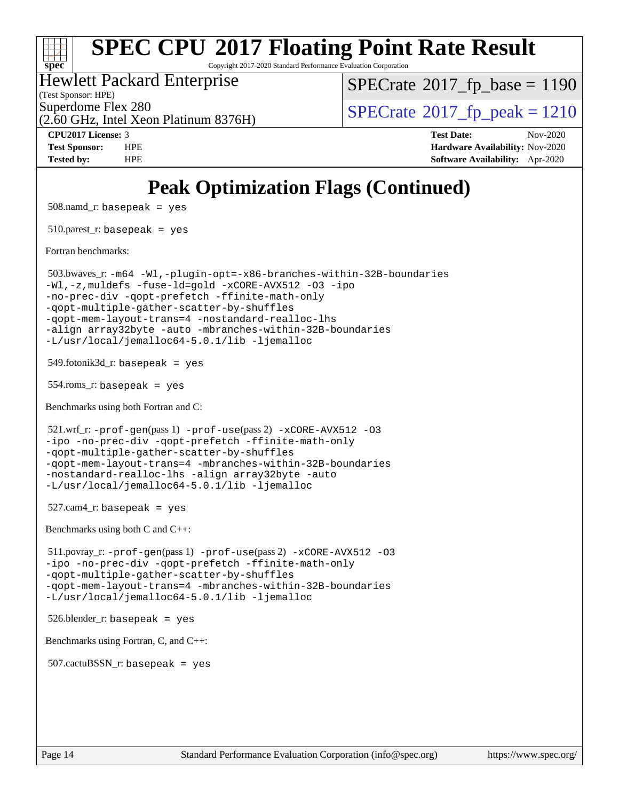

Copyright 2017-2020 Standard Performance Evaluation Corporation

## Hewlett Packard Enterprise

(Test Sponsor: HPE)

[SPECrate](http://www.spec.org/auto/cpu2017/Docs/result-fields.html#SPECrate2017fpbase)<sup>®</sup>2017 fp base = 1190

(2.60 GHz, Intel Xeon Platinum 8376H)

Superdome Flex 280<br>  $SPECTA = 1210$ <br>  $SPECTA = 2017$  fp\_peak = 1210

**[CPU2017 License:](http://www.spec.org/auto/cpu2017/Docs/result-fields.html#CPU2017License)** 3 **[Test Date:](http://www.spec.org/auto/cpu2017/Docs/result-fields.html#TestDate)** Nov-2020 **[Test Sponsor:](http://www.spec.org/auto/cpu2017/Docs/result-fields.html#TestSponsor)** HPE **[Hardware Availability:](http://www.spec.org/auto/cpu2017/Docs/result-fields.html#HardwareAvailability)** Nov-2020 **[Tested by:](http://www.spec.org/auto/cpu2017/Docs/result-fields.html#Testedby)** HPE **[Software Availability:](http://www.spec.org/auto/cpu2017/Docs/result-fields.html#SoftwareAvailability)** Apr-2020

## **[Peak Optimization Flags \(Continued\)](http://www.spec.org/auto/cpu2017/Docs/result-fields.html#PeakOptimizationFlags)**

```
 508.namd_r: basepeak = yes
510.parest_r: basepeak = yes
Fortran benchmarks: 
 503.bwaves_r: -m64 -Wl,-plugin-opt=-x86-branches-within-32B-boundaries
-Wl,-z,muldefs -fuse-ld=gold -xCORE-AVX512 -O3 -ipo
-no-prec-div -qopt-prefetch -ffinite-math-only
-qopt-multiple-gather-scatter-by-shuffles
-qopt-mem-layout-trans=4 -nostandard-realloc-lhs
-align array32byte -auto -mbranches-within-32B-boundaries
-L/usr/local/jemalloc64-5.0.1/lib -ljemalloc
549.fotonik3d_r: basepeak = yes
 554.roms_r: basepeak = yes
Benchmarks using both Fortran and C: 
521.wrf_r: -prof-gen(pass 1) -prof-use(pass 2) -xCORE--O3
-ipo -no-prec-div -qopt-prefetch -ffinite-math-only
-qopt-multiple-gather-scatter-by-shuffles
-qopt-mem-layout-trans=4 -mbranches-within-32B-boundaries
-nostandard-realloc-lhs -align array32byte -auto
-L/usr/local/jemalloc64-5.0.1/lib -ljemalloc
 527.cam4_r: basepeak = yes
Benchmarks using both C and C++: 
 511.povray_r: -prof-gen(pass 1) -prof-use(pass 2) -xCORE-AVX512 -O3
-ipo -no-prec-div -qopt-prefetch -ffinite-math-only
-qopt-multiple-gather-scatter-by-shuffles
-qopt-mem-layout-trans=4 -mbranches-within-32B-boundaries
-L/usr/local/jemalloc64-5.0.1/lib -ljemalloc
 526.blender_r: basepeak = yes
Benchmarks using Fortran, C, and C++: 
507.cactuBSSN r: basepeak = yes
```